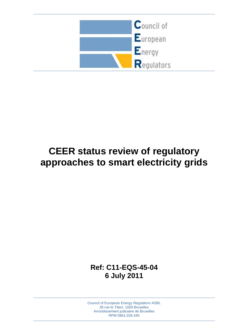

# **CEER status review of regulatory approaches to smart electricity grids**

**Ref: C11-EQS-45-04 6 July 2011**

Council of European Energy Regulators ASBL 28 rue le Titien, 1000 Bruxelles Arrondissement judiciaire de Bruxelles RPM 0861.035.445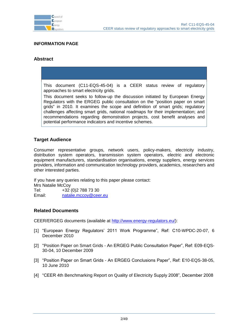

#### **INFORMATION PAGE**

#### **Abstract**

This document (C11-EQS-45-04) is a CEER status review of regulatory approaches to smart electricity grids.

This document seeks to follow-up the discussion initiated by European Energy Regulators with the ERGEG public consultation on the "position paper on smart grids" in 2010. It examines the scope and definition of smart grids; regulatory challenges affecting smart grids, national roadmaps for their implementation; and recommendations regarding demonstration projects, cost benefit analyses and potential performance indicators and incentive schemes.

#### **Target Audience**

Consumer representative groups, network users, policy-makers, electricity industry, distribution system operators, transmission system operators, electric and electronic equipment manufacturers, standardisation organisations, energy suppliers, energy services providers, information and communication technology providers, academics, researchers and other interested parties.

If you have any queries relating to this paper please contact: Mrs Natalie McCoy Tel: +32 (0)2 788 73 30 Email: [natalie.mccoy@ceer.eu](mailto:natalie.mccoy@ceer.eu)

#### **Related Documents**

<span id="page-1-2"></span>CEER/ERGEG documents (available at [http://www.energy-regulators.eu/\)](http://www.energy-regulators.eu/):

- [1] "European Energy Regulators' 2011 Work Programme", Ref: C10-WPDC-20-07, 6 December 2010
- <span id="page-1-0"></span>[2] "Position Paper on Smart Grids - An ERGEG Public Consultation Paper", Ref: E09-EQS-30-04, 10 December 2009
- <span id="page-1-1"></span>[3] "Position Paper on Smart Grids - An ERGEG Conclusions Paper", Ref: E10-EQS-38-05, 10 June 2010
- <span id="page-1-3"></span>[4] "CEER 4th Benchmarking Report on Quality of Electricity Supply 2008", December 2008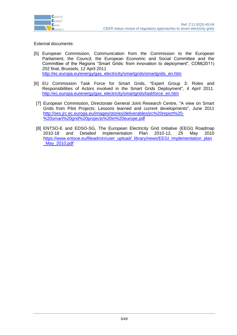

External documents:

- <span id="page-2-0"></span>[5] European Commission, Communication from the Commission to the European Parliament, the Council, the European Economic and Social Committee and the Committee of the Regions "Smart Grids: from innovation to deployment", COM(2011) 202 final, Brussels, 12 April 2011 [http://ec.europa.eu/energy/gas\\_electricity/smartgrids/smartgrids\\_en.htm](http://ec.europa.eu/energy/gas_electricity/smartgrids/smartgrids_en.htm)
- <span id="page-2-1"></span>[6] EU Commission Task Force for Smart Grids, "Expert Group 3: Roles and Responsibilities of Actors involved in the Smart Grids Deployment", 4 April 2011. [http://ec.europa.eu/energy/gas\\_electricity/smartgrids/taskforce\\_en.htm](http://ec.europa.eu/energy/gas_electricity/smartgrids/taskforce_en.htm)
- <span id="page-2-2"></span>[7] European Commission, Directorate General Joint Research Centre, "A view on Smart Grids from Pilot Projects: Lessons learned and current developments", June 2011 [http://ses.jrc.ec.europa.eu/images/stories/deliverables/jrc%20report%20-](http://ses.jrc.ec.europa.eu/images/stories/deliverables/jrc%20report%20-%20smart%20grid%20projects%20in%20europe.pdf) [%20smart%20grid%20projects%20in%20europe.pdf](http://ses.jrc.ec.europa.eu/images/stories/deliverables/jrc%20report%20-%20smart%20grid%20projects%20in%20europe.pdf)
- [8] ENTSO-E and EDSO-SG, The European Electricity Grid Initiative (EEGI) Roadmap 2010-18 and Detailed Implementation Plan 2010-12, 25 May 2010 [https://www.entsoe.eu/fileadmin/user\\_upload/\\_library/news/EEGI\\_Implementation\\_plan](https://www.entsoe.eu/fileadmin/user_upload/_library/news/EEGI_Implementation_plan_May_2010.pdf) [\\_May\\_2010.pdf](https://www.entsoe.eu/fileadmin/user_upload/_library/news/EEGI_Implementation_plan_May_2010.pdf)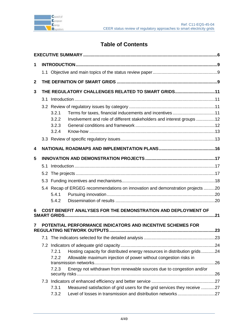

# **Table of Contents**

| 1              |                                                    |                |                                                                                |     |  |  |  |
|----------------|----------------------------------------------------|----------------|--------------------------------------------------------------------------------|-----|--|--|--|
|                |                                                    |                |                                                                                |     |  |  |  |
| $\overline{2}$ |                                                    |                |                                                                                |     |  |  |  |
| 3              | THE REGULATORY CHALLENGES RELATED TO SMART GRIDS11 |                |                                                                                |     |  |  |  |
|                |                                                    |                |                                                                                |     |  |  |  |
|                |                                                    |                |                                                                                |     |  |  |  |
|                |                                                    | 3.2.1          | Terms for taxes, financial inducements and incentives 11                       |     |  |  |  |
|                |                                                    | 3.2.2          | Involvement and role of different stakeholders and interest groups 12          |     |  |  |  |
|                |                                                    | 3.2.3          |                                                                                |     |  |  |  |
|                |                                                    | 3.2.4          |                                                                                |     |  |  |  |
|                |                                                    |                |                                                                                |     |  |  |  |
| 4              |                                                    |                |                                                                                |     |  |  |  |
| 5              |                                                    |                |                                                                                |     |  |  |  |
|                |                                                    |                |                                                                                |     |  |  |  |
|                |                                                    |                |                                                                                |     |  |  |  |
|                |                                                    |                |                                                                                |     |  |  |  |
|                |                                                    |                | 5.4 Recap of ERGEG recommendations on innovation and demonstration projects 20 |     |  |  |  |
|                |                                                    | 5.4.1          |                                                                                |     |  |  |  |
|                |                                                    | 5.4.2          |                                                                                |     |  |  |  |
| 6              |                                                    |                | COST BENEFIT ANALYSES FOR THE DEMONSTRATION AND DEPLOYMENT OF                  |     |  |  |  |
| 7              |                                                    |                | POTENTIAL PERFORMANCE INDICATORS AND INCENTIVE SCHEMES FOR                     |     |  |  |  |
|                |                                                    |                |                                                                                |     |  |  |  |
|                | 7.1                                                |                |                                                                                |     |  |  |  |
|                |                                                    |                |                                                                                |     |  |  |  |
|                |                                                    | 7.2.1<br>7.2.2 | Hosting capacity for distributed energy resources in distribution grids24      |     |  |  |  |
|                |                                                    |                | Allowable maximum injection of power without congestion risks in               | .26 |  |  |  |
|                |                                                    | 7.2.3          | Energy not withdrawn from renewable sources due to congestion and/or           |     |  |  |  |
|                |                                                    |                |                                                                                |     |  |  |  |
|                |                                                    |                |                                                                                |     |  |  |  |
|                |                                                    | 7.3.1          | Measured satisfaction of grid users for the grid services they receive 27      |     |  |  |  |
|                |                                                    | 7.3.2          |                                                                                |     |  |  |  |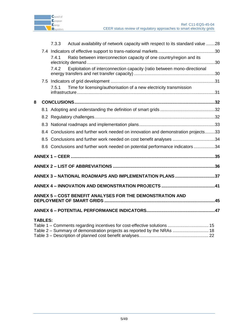

|   |                | 7.3.3 | Actual availability of network capacity with respect to its standard value 28                                                                       |  |
|---|----------------|-------|-----------------------------------------------------------------------------------------------------------------------------------------------------|--|
|   |                |       |                                                                                                                                                     |  |
|   |                | 7.4.1 | Ratio between interconnection capacity of one country/region and its                                                                                |  |
|   |                | 7.4.2 | Exploitation of interconnection capacity (ratio between mono-directional                                                                            |  |
|   |                |       |                                                                                                                                                     |  |
|   |                | 7.5.1 | Time for licensing/authorisation of a new electricity transmission                                                                                  |  |
| 8 |                |       |                                                                                                                                                     |  |
|   |                |       |                                                                                                                                                     |  |
|   |                |       |                                                                                                                                                     |  |
|   |                |       |                                                                                                                                                     |  |
|   |                |       | 8.4 Conclusions and further work needed on innovation and demonstration projects33                                                                  |  |
|   |                |       | 8.5 Conclusions and further work needed on cost benefit analyses 34                                                                                 |  |
|   |                |       | 8.6 Conclusions and further work needed on potential performance indicators 34                                                                      |  |
|   |                |       |                                                                                                                                                     |  |
|   |                |       | ANNEX 2 - LIST OF ABBREVIATIONS ……………………………………………………………………………36                                                                                     |  |
|   |                |       | ANNEX 3 - NATIONAL ROADMAPS AND IMPLEMENTATION PLANS 37                                                                                             |  |
|   |                |       |                                                                                                                                                     |  |
|   |                |       | <b>ANNEX 5 – COST BENEFIT ANALYSES FOR THE DEMONSTRATION AND</b><br>DEPLOYMENT OF SMART GRIDS ………………………………………………………………………………45                      |  |
|   |                |       |                                                                                                                                                     |  |
|   | <b>TABLES:</b> |       | Table 1 – Comments regarding incentives for cost-effective solutions  15<br>Table 2 – Summary of demonstration projects as reported by the NRAs  18 |  |

Table 3 – [Description of planned cost benefit analyses........................................................](#page-21-0) 22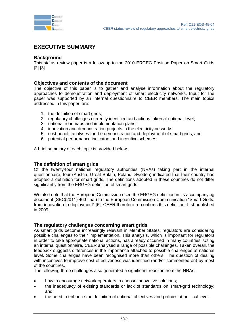

# <span id="page-5-0"></span>**EXECUTIVE SUMMARY**

#### **Background**

This status review paper is a follow-up to the 2010 ERGEG Position Paper on Smart Grids [\[2\]](#page-1-0) [\[3\].](#page-1-1)

#### **Objectives and contents of the document**

The objective of this paper is to gather and analyse information about the regulatory approaches to demonstration and deployment of smart electricity networks. Input for the paper was supported by an internal questionnaire to CEER members. The main topics addressed in this paper, are:

- 1. the definition of smart grids;
- 2. regulatory challenges currently identified and actions taken at national level;
- 3. national roadmaps and implementation plans;
- 4. innovation and demonstration projects in the electricity networks;
- 5. cost benefit analyses for the demonstration and deployment of smart grids; and
- 6. potential performance indicators and incentive schemes.

A brief summary of each topic is provided below.

#### **The definition of smart grids**

Of the twenty-four national regulatory authorities (NRAs) taking part in the internal questionnaire, four (Austria, Great Britain, Poland, Sweden) indicated that their country has adopted a definition for smart grids. The definitions adopted in these countries do not differ significantly from the ERGEG definition of smart grids.

We also note that the European Commission used the ERGEG definition in its accompanying document (SEC(2011) 463 final) to the European Commission Communication "Smart Grids: from innovation to deployment" [5]. CEER therefore re-confirms this definition, first published in 2009.

#### **The regulatory challenges concerning smart grids**

As smart grids become increasingly relevant in Member States, regulators are considering possible challenges to their implementation. This analysis, which is important for regulators in order to take appropriate national actions, has already occurred in many countries. Using an internal questionnaire, CEER analysed a range of possible challenges. Taken overall, the feedback suggests differences in the importance attached to possible challenges at national level. Some challenges have been recognised more than others. The question of dealing with incentives to improve cost-effectiveness was identified (and/or commented on) by most of the countries.

The following three challenges also generated a significant reaction from the NRAs:

- how to encourage network operators to choose innovative solutions;
- the inadequacy of existing standards or lack of standards on smart-grid technology; and
- the need to enhance the definition of national objectives and policies at political level.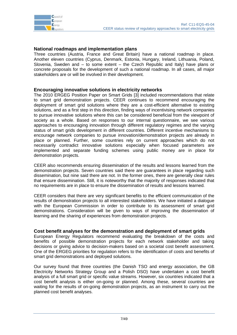# **National roadmaps and implementation plans**

Three countries (Austria, France and Great Britain) have a national roadmap in place. Another eleven countries (Cyprus, Denmark, Estonia, Hungary, Ireland, Lithuania, Poland, Slovenia, Sweden and – to some extent – the Czech Republic and Italy) have plans or concrete proposals for the development of such a national roadmap. In all cases, all major stakeholders are or will be involved in their development.

## **Encouraging innovative solutions in electricity networks**

The 2010 ERGEG Position Paper on Smart Grids [\[3\]](#page-1-1) included recommendations that relate to smart grid demonstration projects. CEER continues to recommend encouraging the deployment of smart grid solutions where they are a cost-efficient alternative to existing solutions, and as a first step in this direction, finding ways of incentivising network companies to pursue innovative solutions where this can be considered beneficial from the viewpoint of society as a whole. Based on responses to our internal questionnaire, we see various approaches to encouraging innovation through different regulatory regimes and the varying status of smart grids development in different countries. Different incentive mechanisms to encourage network companies to pursue innovation/demonstration projects are already in place or planned. Further, some countries rely on current approaches which do not necessarily contradict innovative solutions especially when focused parameters are implemented and separate funding schemes using public money are in place for demonstration projects.

CEER also recommends ensuring dissemination of the results and lessons learned from the demonstration projects. Seven countries said there are guarantees in place regarding such dissemination, but nine said there are not. In the former ones, there are generally clear rules that ensure dissemination. Still, it is noteworthy that the majority of responses indicated that no requirements are in place to ensure the dissemination of results and lessons learned.

CEER considers that there are very significant benefits to the efficient communication of the results of demonstration projects to all interested stakeholders. We have initiated a dialogue with the European Commission in order to contribute to its assessment of smart grid demonstrations. Consideration will be given to ways of improving the dissemination of learning and the sharing of experiences from demonstration projects.

#### **Cost benefit analyses for the demonstration and deployment of smart grids**

European Energy Regulators recommend evaluating the breakdown of the costs and benefits of possible demonstration projects for each network stakeholder and taking decisions or giving advice to decision-makers based on a societal cost benefit assessment. One of the ERGEG priorities for regulation refers to the identification of costs and benefits of smart grid demonstrations and deployed solutions.

Our survey found that three countries (the Danish TSO and energy association, the GB Electricity Networks Strategy Group and a Polish DSO) have undertaken a cost benefit analysis of a full smart grid or specific value streams. However, six countries indicated that a cost benefit analysis is either on-going or planned. Among these, several countries are waiting for the results of on-going demonstration projects, as an instrument to carry out the planned cost benefit analyses.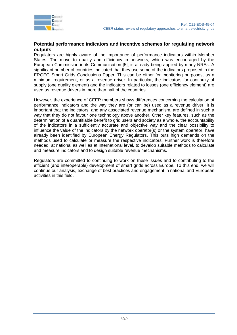

#### **Potential performance indicators and incentive schemes for regulating network outputs**

Regulators are highly aware of the importance of performance indicators within Member States. The move to quality and efficiency in networks, which was encouraged by the European Commission in its Communication [5], is already being applied by many NRAs. A significant number of countries indicated that they use some of the indicators proposed in the ERGEG Smart Grids Conclusions Paper. This can be either for monitoring purposes, as a minimum requirement, or as a revenue driver. In particular, the indicators for continuity of supply (one quality element) and the indicators related to losses (one efficiency element) are used as revenue drivers in more than half of the countries.

However, the experience of CEER members shows differences concerning the calculation of performance indicators and the way they are (or can be) used as a revenue driver. It is important that the indicators, and any associated revenue mechanism, are defined in such a way that they do not favour one technology above another. Other key features, such as the determination of a quantifiable benefit to grid users and society as a whole, the accountability of the indicators in a sufficiently accurate and objective way and the clear possibility to influence the value of the indicators by the network operator(s) or the system operator, have already been identified by European Energy Regulators. This puts high demands on the methods used to calculate or measure the respective indicators. Further work is therefore needed, at national as well as at international level, to develop suitable methods to calculate and measure indicators and to design suitable revenue mechanisms.

Regulators are committed to continuing to work on these issues and to contributing to the efficient (and interoperable) development of smart grids across Europe. To this end, we will continue our analysis, exchange of best practices and engagement in national and European activities in this field.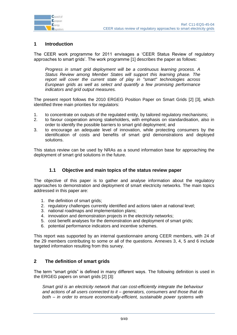

# <span id="page-8-0"></span>**1 Introduction**

The CEER work programme for 2011 envisages a "CEER Status Review of regulatory approaches to smart grids". The work programme [\[1\]](#page-1-2) describes the paper as follows:

*Progress in smart grid deployment will be a continuous learning process. A Status Review among Member States will support this learning phase. The report will cover the current state of play in "smart" technologies across European grids as well as select and quantify a few promising performance indicators and grid output measures.*

The present report follows the 2010 ERGEG Position Paper on Smart Grids [\[2\]](#page-1-0) [\[3\],](#page-1-1) which identified three main priorities for regulators:

- 1. to concentrate on outputs of the regulated entity, by tailored regulatory mechanisms;
- 2. to favour cooperation among stakeholders, with emphasis on standardisation, also in order to identify the possible barriers to smart grid deployment; and
- 3. to encourage an adequate level of innovation, while protecting consumers by the identification of costs and benefits of smart grid demonstrations and deployed solutions.

This status review can be used by NRAs as a sound information base for approaching the deployment of smart grid solutions in the future.

#### **1.1 Objective and main topics of the status review paper**

<span id="page-8-1"></span>The objective of this paper is to gather and analyse information about the regulatory approaches to demonstration and deployment of smart electricity networks. The main topics addressed in this paper are:

- 1. the definition of smart grids;
- 2. regulatory challenges currently identified and actions taken at national level;
- 3. national roadmaps and implementation plans;
- 4. innovation and demonstration projects in the electricity networks;
- 5. cost benefit analyses for the demonstration and deployment of smart grids;
- 6. potential performance indicators and incentive schemes.

This report was supported by an internal questionnaire among CEER members, with 24 of the 29 members contributing to some or all of the questions. Annexes 3, 4, 5 and 6 include targeted information resulting from this survey.

#### <span id="page-8-2"></span>**2 The definition of smart grids**

The term "smart grids" is defined in many different ways. The following definition is used in the ERGEG papers on smart grids [\[2\]](#page-1-0) [\[3\]:](#page-1-1)

*Smart grid is an electricity network that can cost-efficiently integrate the behaviour and actions of all users connected to it – generators, consumers and those that do both – in order to ensure economically-efficient, sustainable power systems with*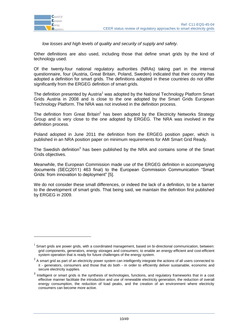

1

*low losses and high levels of quality and security of supply and safety.*

Other definitions are also used, including those that define smart grids by the kind of technology used.

Of the twenty-four national regulatory authorities (NRAs) taking part in the internal questionnaire, four (Austria, Great Britain, Poland, Sweden) indicated that their country has adopted a definition for smart grids. The definitions adopted in these countries do not differ significantly from the ERGEG definition of smart grids.

The definition presented by Austria<sup>1</sup> was adopted by the National Technology Platform Smart Grids Austria in 2008 and is close to the one adopted by the Smart Grids European Technology Platform. The NRA was not involved in the definition process.

The definition from Great Britain<sup>2</sup> has been adopted by the Electricity Networks Strategy Group and is very close to the one adopted by ERGEG. The NRA was involved in the definition process.

Poland adopted in June 2011 the definition from the ERGEG position paper, which is published in an NRA position paper on minimum requirements for AMI Smart Grid Ready.

The Swedish definition<sup>3</sup> has been published by the NRA and contains some of the Smart Grids objectives.

Meanwhile, the European Commission made use of the ERGEG definition in accompanying documents (SEC(2011) 463 final) to the European Commission Communication "Smart Grids: from innovation to deployment" [\[5\].](#page-2-0)

We do not consider these small differences, or indeed the lack of a definition, to be a barrier to the development of smart grids. That being said, we maintain the definition first published by ERGEG in 2009.

 $1$  Smart grids are power grids, with a coordinated management, based on bi-directional communication, between: grid components, generators, energy storages and consumers; to enable an energy-efficient and cost-efficient system operation that is ready for future challenges of the energy system.

 $2$  A smart grid as part of an electricity power system can intelligently integrate the actions of all users connected to it - generators, consumers and those that do both - in order to efficiently deliver sustainable, economic and secure electricity supplies.

 $3$  Intelligent or smart grids is the synthesis of technologies, functions, and regulatory frameworks that in a cost effective manner facilitate the introduction and use of renewable electricity generation, the reduction of overall energy consumption, the reduction of load peaks, and the creation of an environment where electricity consumers can become more active.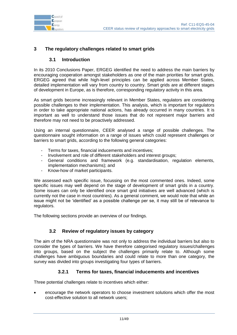

# <span id="page-10-0"></span>**3 The regulatory challenges related to smart grids**

#### **3.1 Introduction**

<span id="page-10-1"></span>In its 2010 Conclusions Paper, ERGEG identified the need to address the main barriers by encouraging cooperation amongst stakeholders as one of the main priorities for smart grids. ERGEG agreed that while high-level principles can be applied across Member States, detailed implementation will vary from country to country. Smart grids are at different stages of development in Europe, as is therefore, corresponding regulatory activity in this area.

As smart grids become increasingly relevant in Member States, regulators are considering possible challenges to their implementation. This analysis, which is important for regulators in order to take appropriate national actions, has already occurred in many countries. It is important as well to understand those issues that do not represent major barriers and therefore may not need to be proactively addressed.

Using an internal questionnaire, CEER analysed a range of possible challenges. The questionnaire sought information on a range of issues which could represent challenges or barriers to smart grids, according to the following general categories:

- Terms for taxes, financial inducements and incentives;
- Involvement and role of different stakeholders and interest groups;
- General conditions and framework (e.g. standardisation, regulation elements, implementation mechanisms); and
- Know-how of market participants.

We assessed each specific issue, focussing on the most commented ones. Indeed, some specific issues may well depend on the stage of development of smart grids in a country. Some issues can only be identified once smart grid initiatives are well advanced (which is currently not the case in most countries). As a general comment, we would note that while an issue might not be "identified" as a possible challenge per se, it may still be of relevance to regulators.

The following sections provide an overview of our findings.

#### **3.2 Review of regulatory issues by category**

<span id="page-10-2"></span>The aim of the NRA questionnaire was not only to address the individual barriers but also to consider the types of barriers. We have therefore categorised regulatory issues/challenges into groups, based on the subject the challenges primarily relate to. Although some challenges have ambiguous boundaries and could relate to more than one category, the survey was divided into groups investigating four types of barriers.

#### **3.2.1 Terms for taxes, financial inducements and incentives**

<span id="page-10-3"></span>Three potential challenges relate to incentives which either:

 encourage the network operators to choose investment solutions which offer the most cost-effective solution to all network users;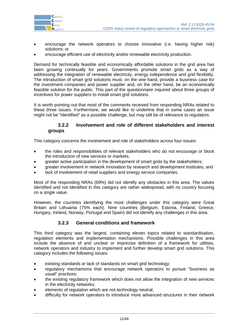

- encourage the network operators to choose innovative (i.e. having higher risk) solutions; or
- encourage efficient use of electricity and/or renewable electricity production.

Demand for technically feasible and economically affordable solutions in the grid area has been growing continually for years. Governments promote smart grids as a way of addressing the integration of renewable electricity, energy independence and grid flexibility. The introduction of smart grid solutions must, on the one hand, provide a business case for the investment companies and power supplier and, on the other hand, be an economically feasible solution for the public. This part of the questionnaire inquired about three groups of incentives for power suppliers to install smart grid solutions.

It is worth pointing out that most of the comments received from responding NRAs related to these three issues. Furthermore, we would like to underline that in some cases an issue might not be "identified" as a possible challenge, but may still be of relevance to regulators.

#### <span id="page-11-0"></span>**3.2.2 Involvement and role of different stakeholders and interest groups**

This category concerns the involvement and role of stakeholders across four issues:

- the roles and responsibilities of relevant stakeholders who do not encourage or block the introduction of new services or markets;
- greater active participation in the development of smart grids by the stakeholders;
- greater involvement in network innovation by research and development institutes; and
- lack of involvement of retail suppliers and energy service companies.

Most of the responding NRAs (69%) did not identify any obstacles in this area. The values identified and not identified in this category are rather widespread, with no country focusing on a single value.

However, the countries identifying the most challenges under this category were Great Britain and Lithuania (75% each). Nine countries (Belgium, Estonia, Finland, Greece, Hungary, Ireland, Norway, Portugal and Spain) did not identify any challenges in this area.

#### **3.2.3 General conditions and framework**

<span id="page-11-1"></span>This third category was the largest, containing eleven topics related to standardisation, regulation elements and implementation mechanisms. Possible challenges in this area include the absence of and unclear or imprecise definition of a framework for utilities, network operators and industry to implement and further develop smart grid solutions. This category includes the following issues:

- existing standards or lack of standards on smart grid technology;
- regulatory mechanisms that encourage network operators to pursue "business as usual" practices;
- the existing regulatory framework which does not allow the integration of new services in the electricity networks;
- elements of regulation which are not technology neutral;
- difficulty for network operators to introduce more advanced structures in their network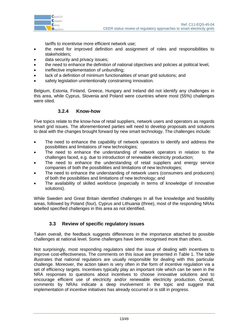

tariffs to incentivise more efficient network use;

- the need for improved definition and assignment of roles and responsibilities to stakeholders;
- data security and privacy issues;
- the need to enhance the definition of national objectives and policies at political level,
- ineffective implementation of unbundling;
- lack of a definition of minimum functionalities of smart grid solutions; and
- safety legislation unintentionally constraining innovation.

Belgium, Estonia, Finland, Greece, Hungary and Ireland did not identify any challenges in this area, while Cyprus, Slovenia and Poland were countries where most (55%) challenges were sited.

#### **3.2.4 Know-how**

<span id="page-12-0"></span>Five topics relate to the know-how of retail suppliers, network users and operators as regards smart grid issues. The aforementioned parties will need to develop proposals and solutions to deal with the changes brought forward by new smart technology. The challenges include:

- The need to enhance the capability of network operators to identify and address the possibilities and limitations of new technologies;
- The need to enhance the understanding of network operators in relation to the challenges faced, e.g. due to introduction of renewable electricity production;
- The need to enhance the understanding of retail suppliers and energy service companies of both the possibilities and limitations of new technologies;
- The need to enhance the understanding of network users (consumers and producers) of both the possibilities and limitations of new technology; and
- The availability of skilled workforce (especially in terms of knowledge of innovative solutions).

While Sweden and Great Britain identified challenges in all five knowledge and feasibility areas, followed by Poland (four), Cyprus and Lithuania (three), most of the responding NRAs labelled specified challenges in this area as not identified.

# **3.3 Review of specific regulatory issues**

<span id="page-12-1"></span>Taken overall, the feedback suggests differences in the importance attached to possible challenges at national level. Some challenges have been recognised more than others.

Not surprisingly, most responding regulators sited the issue of dealing with incentives to improve cost-effectiveness. The comments on this issue are presented in [Table 1.](#page-14-0) The table illustrates that national regulators are usually responsible for dealing with this particular challenge. Moreover, the action taken is very often in the form of incentive regulation via a set of efficiency targets. Incentives typically play an important role which can be seen in the NRA responses to questions about incentives to choose innovative solutions and to encourage efficient use of electricity and/or renewable electricity production. Overall, comments by NRAs indicate a deep involvement in the topic and suggest that implementation of incentive initiatives has already occurred or is still in progress.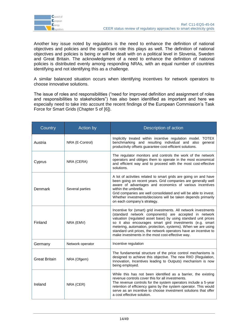

Another key issue noted by regulators is the need to enhance the definition of national objectives and policies and the significant role this plays as well. The definition of national objectives and policies is being or will be dealt with on a political level in Slovenia, Sweden and Great Britain. The acknowledgment of a need to enhance the definition of national policies is distributed evenly among responding NRAs, with an equal number of countries identifying and not identifying this as a challenge.

A similar balanced situation occurs when identifying incentives for network operators to choose innovative solutions.

The issue of roles and responsibilities ("need for improved definition and assignment of roles and responsibilities to stakeholders") has also been identified as important and here we especially need to take into account the recent findings of the European Commission's Task Force for Smart Grids (Chapter 5 of [\[6\]\)](#page-2-1).

| Country              | Action by        | Description of action                                                                                                                                                                                                                                                                                                                                                                                                                           |  |  |
|----------------------|------------------|-------------------------------------------------------------------------------------------------------------------------------------------------------------------------------------------------------------------------------------------------------------------------------------------------------------------------------------------------------------------------------------------------------------------------------------------------|--|--|
| Austria              | NRA (E-Control)  | Implicitly treated within incentive regulation model. TOTEX<br>benchmarking and resulting individual and also general<br>productivity offsets guarantee cost-efficient solutions.                                                                                                                                                                                                                                                               |  |  |
| Cyprus               | NRA (CERA)       | The regulator monitors and controls the work of the network<br>operators and obliges them to operate in the most economical<br>and efficient way and to proceed with the most cost-effective<br>solutions.                                                                                                                                                                                                                                      |  |  |
| Denmark              | Several parties  | A lot of activities related to smart grids are going on and have<br>been going on recent years. Grid companies are generally well<br>aware of advantages and economics of various incentives<br>within the umbrella.<br>Grid companies are well consolidated and will be able to invest.<br>Whether investments/decisions will be taken depends primarily<br>on each company's strategy.                                                        |  |  |
| Finland              | NRA (EMV)        | Incentive for (smart) grid investments. All network investments<br>(standard network components) are accepted in network<br>valuation (regulated asset base) by using standard unit prices<br>so it also encourages smart gird investments (e.g. smart<br>metering, automation, protection, systems). When we are using<br>standard unit prices, the network operators have an incentive to<br>make investments in the most cost-effective way. |  |  |
| Germany              | Network operator | Incentive regulation                                                                                                                                                                                                                                                                                                                                                                                                                            |  |  |
| <b>Great Britain</b> | NRA (Ofgem)      | The fundamental structure of the price control mechanisms is<br>designed to achieve this objective. The new RIIO (Regulation,<br>Innovation, Incentives leading to Outputs) mechanism is now<br>being employed.                                                                                                                                                                                                                                 |  |  |
| Ireland              | NRA (CER)        | While this has not been identified as a barrier, the existing<br>revenue controls cover this for all investments.<br>The revenue controls for the system operators include a 5-year<br>retention of efficiency gains by the system operator. This would<br>serve as an incentive to choose investment solutions that offer<br>a cost effective solution.                                                                                        |  |  |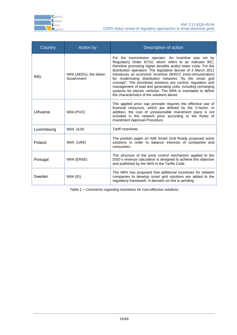

| <b>Country</b> | Action by                             | Description of action                                                                                                                                                                                                                                                                                                                                                                                                                                                                                                                                                                                                                 |  |
|----------------|---------------------------------------|---------------------------------------------------------------------------------------------------------------------------------------------------------------------------------------------------------------------------------------------------------------------------------------------------------------------------------------------------------------------------------------------------------------------------------------------------------------------------------------------------------------------------------------------------------------------------------------------------------------------------------------|--|
| Italy          | NRA (AEEG), the Italian<br>Government | For the transmission operator: An incentive was set by<br>Regulatory Order 87/10, which refers to an indicator B/C,<br>therefore promoting higher benefits and/or lower costs. For the<br>distribution operators: The legislative decree of 3 March 2011<br>introduces an economic incentive (WACC extra-remuneration)<br>for modernising distribution networks "by the smart grid<br>concept". The prioritised solutions are control, regulation and<br>management of load and generating units, including recharging<br>systems for electric vehicles. The NRA is mandated to define<br>the characteristics of the solutions above. |  |
| Lithuania      | NRA (PUC)                             | The applied price cap principle requires the effective use of<br>financial resources, which are defined by the X-factor. In<br>addition, the cost of unreasonable investment plans is not<br>included in the network price according to the Rules of<br>Investment Approval Procedure.                                                                                                                                                                                                                                                                                                                                                |  |
| Luxembourg     | NRA (ILR)                             | <b>Tariff incentives</b>                                                                                                                                                                                                                                                                                                                                                                                                                                                                                                                                                                                                              |  |
| Poland         | NRA (URE)                             | The position paper on AMI Smart Grid Ready proposed some<br>solutions in order to balance interests of companies and<br>consumers.                                                                                                                                                                                                                                                                                                                                                                                                                                                                                                    |  |
| Portugal       | NRA (ERSE)                            | The structure of the price control mechanism applied to the<br>DSO's revenue calculation is designed to achieve this objective<br>and published by the NRA in the Tariffs Code.                                                                                                                                                                                                                                                                                                                                                                                                                                                       |  |
| Sweden         | NRA (EI)                              | The NRA has proposed that additional incentives for network<br>companies to develop smart grid solutions are added to the<br>regulatory framework. A decision on this is pending.                                                                                                                                                                                                                                                                                                                                                                                                                                                     |  |

<span id="page-14-0"></span>*Table 1 – Comments regarding incentives for cost-effective solutions*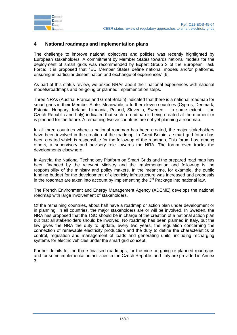

# <span id="page-15-0"></span>**4 National roadmaps and implementation plans**

The challenge to improve national objectives and policies was recently highlighted by European stakeholders. A commitment by Member States towards national models for the deployment of smart grids was recommended by Expert Group 3 of the European Task Force: it is proposed that "EU Member States define national models and/or platforms, ensuring in particular dissemination and exchange of experiences" [\[6\].](#page-2-1)

As part of this status review, we asked NRAs about their national experiences with national models/roadmaps and on-going or planned implementation steps.

Three NRAs (Austria, France and Great Britain) indicated that there is a national roadmap for smart grids in their Member State. Meanwhile, a further eleven countries (Cyprus, Denmark, Estonia, Hungary, Ireland, Lithuania, Poland, Slovenia, Sweden – to some extent – the Czech Republic and Italy) indicated that such a roadmap is being created at the moment or is planned for the future. A remaining twelve countries are not yet planning a roadmap.

In all three countries where a national roadmap has been created, the major stakeholders have been involved in the creation of the roadmap. In Great Britain, a smart grid forum has been created which is responsible for the follow-up of the roadmap. This forum has, among others, a supervisory and advisory role towards the NRA. The forum even tracks the developments elsewhere.

In Austria, the National Technology Platform on Smart Grids and the prepared road map has been financed by the relevant Ministry and the implementation and follow-up is the responsibility of the ministry and policy makers. In the meantime, for example, the public funding budget for the development of electricity infrastructure was increased and proposals in the roadmap are taken into account by implementing the  $3<sup>rd</sup>$  Package into national law.

The French Environment and Energy Management Agency (ADEME) develops the national roadmap with large involvement of stakeholders.

Of the remaining countries, about half have a roadmap or action plan under development or in planning. In all countries, the major stakeholders are or will be involved. In Sweden, the NRA has proposed that the TSO should be in charge of the creation of a national action plan but that all stakeholders should be involved. No roadmap has been planned in Italy, but the law gives the NRA the duty to update, every two years, the regulation concerning the connection of renewable electricity production and the duty to define the characteristics of control, regulation and management of loads and generating units, including recharging systems for electric vehicles under the smart grid concept.

Further details for the three finalised roadmaps, for the nine on-going or planned roadmaps and for some implementation activities in the Czech Republic and Italy are provided in Annex 3.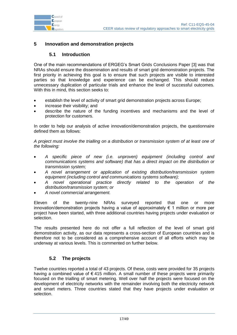



# <span id="page-16-0"></span>**5 Innovation and demonstration projects**

#### **5.1 Introduction**

<span id="page-16-1"></span>One of the main recommendations of ERGEG"s Smart Grids Conclusions Paper [\[3\]](#page-1-1) was that NRAs should ensure the dissemination and results of smart grid demonstration projects. The first priority in achieving this goal is to ensure that such projects are visible to interested parties so that knowledge and experience can be exchanged. This should reduce unnecessary duplication of particular trials and enhance the level of successful outcomes. With this in mind, this section seeks to:

- establish the level of activity of smart grid demonstration projects across Europe;
- increase their visibility; and
- describe the nature of the funding incentives and mechanisms and the level of protection for customers.

In order to help our analysis of active innovation/demonstration projects, the questionnaire defined them as follows:

*A project must involve the trialling on a distribution or transmission system of at least one of the following:* 

- *A specific piece of new (i.e. unproven) equipment (including control and communications systems and software) that has a direct impact on the distribution or transmission system;*
- *A novel arrangement or application of existing distribution/transmission system equipment (including control and communications systems software);*
- *A novel operational practice directly related to the operation of the distribution/transmission system; or*
- *A novel commercial arrangement.*

Eleven of the twenty-nine NRAs surveyed reported that one or more innovation/demonstration projects having a value of approximately  $\epsilon$  1 million or more per project have been started, with three additional countries having projects under evaluation or selection.

The results presented here do not offer a full reflection of the level of smart grid demonstration activity, as our data represents a cross-section of European countries and is therefore not to be considered as a comprehensive account of all efforts which may be underway at various levels. This is commented on further below.

#### **5.2 The projects**

<span id="page-16-2"></span>Twelve countries reported a total of 43 projects. Of these, costs were provided for 35 projects having a combined value of  $\epsilon$  415 million. A small number of these projects were primarily focused on the trialling of smart metering. Well over half the projects were focused on the development of electricity networks with the remainder involving both the electricity network and smart meters. Three countries stated that they have projects under evaluation or selection.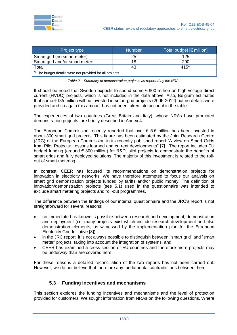| Project type                                                | <b>Number</b> | Total budget [€ million] |  |  |
|-------------------------------------------------------------|---------------|--------------------------|--|--|
| Smart grid (no smart meter)                                 | 25            | 125                      |  |  |
| Smart grid and/or smart meter                               | 18            | 290                      |  |  |
| Total                                                       | 43            | $415^{1}$                |  |  |
| $1)$ The budget details were not provided for all projects. |               |                          |  |  |



<span id="page-17-1"></span>It should be noted that Sweden expects to spend some € 900 million on high voltage direct current (HVDC) projects, which is not included in the data above. Also, Belgium estimates that some €135 million will be invested in smart grid projects (2009-2012) but no details were provided and so again this amount has not been taken into account in the table.

The experiences of two countries (Great Britain and Italy), whose NRAs have promoted demonstration projects, are briefly described in Annex 4.

The European Commission recently reported that over  $\epsilon$  5.5 billion has been invested in about 300 smart grid projects. This figure has been estimated by the Joint Research Centre (JRC) of the European Commission in its recently published report "A view on Smart Grids from Pilot Projects: Lessons learned and current developments" [\[7\].](#page-2-2) The report includes EU budget funding (around € 300 million) for R&D, pilot projects to demonstrate the benefits of smart grids and fully deployed solutions. The majority of this investment is related to the rollout of smart metering.

In contrast, CEER has focused its recommendations on demonstration projects for innovation in electricity networks. We have therefore attempted to focus our analysis on smart grid demonstration projects funded by tariffs and/or public money. The definition of innovation/demonstration projects (see 5.1) used in the questionnaire was intended to exclude smart metering projects and roll-out programmes.

The difference between the findings of our internal questionnaire and the JRC"s report is not straightforward for several reasons:

- no immediate breakdown is possible between research and development, demonstration and deployment (i.e. many projects exist which include research-development and also demonstration elements, as witnessed by the implementation plan for the European Electricity Grid Initiative [8]);
- in the JRC report, it is not always possible to distinguish between "smart grid" and "smart meter" projects, taking into account the integration of systems; and
- CEER has examined a cross-section of EU countries and therefore more projects may be underway than are covered here.

For these reasons a detailed reconciliation of the two reports has not been carried out. However, we do not believe that there are any fundamental contradictions between them.

# **5.3 Funding incentives and mechanisms**

<span id="page-17-0"></span>This section explores the funding incentives and mechanisms and the level of protection provided for customers. We sought information from NRAs on the following questions. Where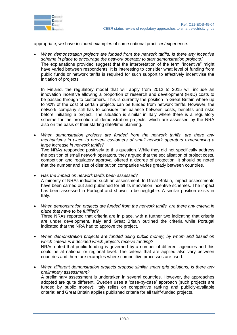

appropriate, we have included examples of some national practices/experience.

 *When demonstration projects are funded from the network tariffs, is there any incentive scheme in place to encourage the network operator to start demonstration projects?* The explanations provided suggest that the interpretation of the term "incentive" might have varied between respondents. It is interesting to consider what level of funding from public funds or network tariffs is required for such support to effectively incentivise the initiation of projects.

In Finland, the regulatory model that will apply from 2012 to 2015 will include an innovation incentive allowing a proportion of research and development (R&D) costs to be passed through to customers. This is currently the position in Great Britain where up to 90% of the cost of certain projects can be funded from network tariffs. However, the network company still has to consider the balance between costs, benefits and risks before initiating a project. The situation is similar in Italy where there is a regulatory scheme for the promotion of demonstration projects, which are assessed by the NRA also on the basis of their starting date/time planning.

 *When demonstration projects are funded from the network tariffs, are there any mechanisms in place to prevent customers of small network operators experiencing a large increase in network tariffs?* Two NRAs responded positively to this question. While they did not specifically address

the position of small network operators, they argued that the socialisation of project costs, competition and regulatory approval offered a degree of protection. It should be noted that the number and size of distribution companies varies greatly between countries.

 *Has the impact on network tariffs been assessed?* A minority of NRAs indicated such an assessment. In Great Britain, impact assessments have been carried out and published for all its innovation incentive schemes. The impact has been assessed in Portugal and shown to be negligible. A similar position exists in Italy.

- *When demonstration projects are funded from the network tariffs, are there any criteria in place that have to be fulfilled?* Three NRAs reported that criteria are in place, with a further two indicating that criteria are under development. Italy and Great Britain outlined the criteria while Portugal indicated that the NRA had to approve the project.
- *When demonstration projects are funded using public money, by whom and based on which criteria is it decided which projects receive funding?* NRAs noted that public funding is governed by a number of different agencies and this could be at national or regional level. The criteria that are applied also vary between countries and there are examples where competitive processes are used.
- *When different demonstration projects propose similar smart grid solutions, is there any preliminary assessment?* A preliminary assessment is undertaken in several countries. However, the approaches adopted are quite different. Sweden uses a "case-by-case" approach (such projects are funded by public money); Italy relies on competitive ranking and publicly-available criteria; and Great Britain applies published criteria for all tariff-funded projects.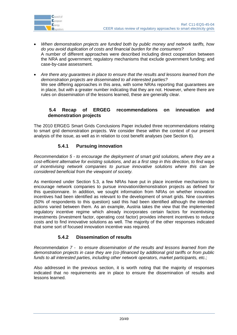

- *When demonstration projects are funded both by public money and network tariffs, how do you avoid duplication of costs and financial burden for the consumers?* A number of different approaches were described including direct cooperation between the NRA and government; regulatory mechanisms that exclude government funding; and case-by-case assessment.
- *Are there any guarantees in place to ensure that the results and lessons learned from the demonstration projects are disseminated to all interested parties?* We see differing approaches in this area, with some NRAs reporting that guarantees are in place, but with a greater number indicating that they are not. However, where there are rules on dissemination of the lessons learned, these are generally clear.

# <span id="page-19-0"></span>**5.4 Recap of ERGEG recommendations on innovation and demonstration projects**

The 2010 ERGEG Smart Grids Conclusions Paper included three recommendations relating to smart grid demonstration projects. We consider these within the context of our present analysis of the issue, as well as in relation to cost benefit analyses (see Section [6\)](#page-20-0).

# **5.4.1 Pursuing innovation**

<span id="page-19-1"></span>*Recommendation 5 - to encourage the deployment of smart grid solutions, where they are a cost-efficient alternative for existing solutions, and as a first step in this direction, to find ways of incentivising network companies to pursue innovative solutions where this can be considered beneficial from the viewpoint of society.*

As mentioned under Section [5.3,](#page-17-0) a few NRAs have put in place incentive mechanisms to encourage network companies to pursue innovation/demonstration projects as defined for this questionnaire. In addition, we sought information from NRAs on whether innovation incentives had been identified as relevant to the development of smart grids. Nine countries (50% of respondents to this question) said this had been identified although the intended actions varied between them. As an example, Austria takes the view that the implemented regulatory incentive regime which already incorporates certain factors for incentivising investments (investment factor, operating cost factor) provides inherent incentives to reduce costs and to find innovative solutions as well. The majority of the other responses indicated that some sort of focused innovation incentive was required.

# **5.4.2 Dissemination of results**

<span id="page-19-2"></span>*Recommendation 7 - to ensure dissemination of the results and lessons learned from the demonstration projects in case they are (co-)financed by additional grid tariffs or from public funds to all interested parties, including other network operators, market participants, etc.;*

Also addressed in the previous section, it is worth noting that the majority of responses indicated that no requirements are in place to ensure the dissemination of results and lessons learned.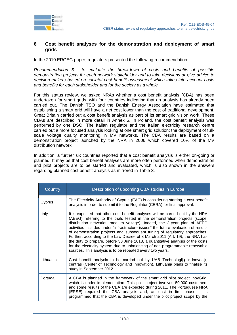

#### <span id="page-20-0"></span>**6 Cost benefit analyses for the demonstration and deployment of smart grids**

In the 2010 ERGEG paper, regulators presented the following recommendation:

*Recommendation 6 - to evaluate the breakdown of costs and benefits of possible demonstration projects for each network stakeholder and to take decisions or give advice to decision-makers based on societal cost benefit assessment which takes into account costs and benefits for each stakeholder and for the society as a whole.*

For this status review, we asked NRAs whether a cost benefit analysis (CBA) has been undertaken for smart grids, with four countries indicating that an analysis has already been carried out. The Danish TSO and the Danish Energy Association have estimated that establishing a smart grid will have a net cost lower than the cost of traditional development. Great Britain carried out a cost benefit analysis as part of its smart grid vision work. These CBAs are described in more detail in Annex 5. In Poland, the cost benefit analysis was performed by one DSO. The Italian regulator and the Italian electricity research centre carried out a more focused analysis looking at one smart grid solution: the deployment of fullscale voltage quality monitoring in MV networks. The CBA results are based on a demonstration project launched by the NRA in 2006 which covered 10% of the MV distribution network.

In addition, a further six countries reported that a cost benefit analysis is either on-going or planned. It may be that cost benefit analyses are more often performed when demonstration and pilot projects are to be started and evaluated, which is also shown in the answers regarding planned cost benefit analysis as mirrored in [Table](#page-21-0) 3.

| Country   | Description of upcoming CBA studies in Europe                                                                                                                                                                                                                                                                                                                                                                                                                                                                                                                                                                                                                                                                            |  |  |  |
|-----------|--------------------------------------------------------------------------------------------------------------------------------------------------------------------------------------------------------------------------------------------------------------------------------------------------------------------------------------------------------------------------------------------------------------------------------------------------------------------------------------------------------------------------------------------------------------------------------------------------------------------------------------------------------------------------------------------------------------------------|--|--|--|
| Cyprus    | The Electricity Authority of Cyprus (EAC) is considering starting a cost benefit<br>analysis in order to submit it to the Regulator (CERA) for final approval.                                                                                                                                                                                                                                                                                                                                                                                                                                                                                                                                                           |  |  |  |
| Italy     | It is expected that other cost benefit analyses will be carried out by the NRA<br>(AEEG) referring to the trials tested in the demonstration projects (scope:<br>distribution networks, medium voltage). Indeed, the 3-year plan of AEEG<br>activities includes under "infrastructure issues" the future evaluation of results<br>of demonstration projects and subsequent tuning of regulatory approaches.<br>Further, according to the Law Decree of 3 March 2011 (Art. 19), the NRA has<br>the duty to prepare, before 30 June 2013, a quantitative analysis of the costs<br>for the electricity system due to unbalancing of non-programmable renewable<br>sources. This analysis is to be repeated every two years. |  |  |  |
| Lithuania | Cost benefit analysis to be carried out by UAB Technologijy ir inovacijy<br>centras (Center of Technology and Innovation). Lithuania plans to finalise its<br>study in September 2012.                                                                                                                                                                                                                                                                                                                                                                                                                                                                                                                                   |  |  |  |
| Portugal  | A CBA is planned in the framework of the smart grid pilot project InovGrid,<br>which is under implementation. This pilot project involves 50,000 customers<br>and some results of the CBA are expected during 2011. The Portuguese NRA<br>(ERSE) required the CBA analysis and, at least in first phase, it is<br>programmed that the CBA is developed under the pilot project scope by the                                                                                                                                                                                                                                                                                                                              |  |  |  |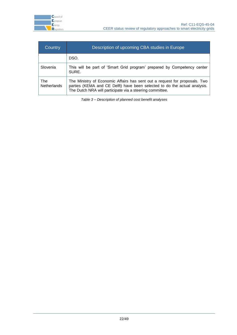

| Country                   | Description of upcoming CBA studies in Europe                                                                                                                                                                       |  |  |  |  |  |
|---------------------------|---------------------------------------------------------------------------------------------------------------------------------------------------------------------------------------------------------------------|--|--|--|--|--|
| DSO.                      |                                                                                                                                                                                                                     |  |  |  |  |  |
| Slovenia                  | This will be part of 'Smart Grid program' prepared by Competency center<br>SURE.                                                                                                                                    |  |  |  |  |  |
| The<br><b>Netherlands</b> | The Ministry of Economic Affairs has sent out a request for proposals. Two<br>parties (KEMA and CE Delft) have been selected to do the actual analysis.<br>The Dutch NRA will participate via a steering committee. |  |  |  |  |  |

<span id="page-21-0"></span>*Table 3 – Description of planned cost benefit analyses*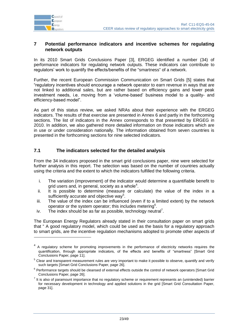

1

#### <span id="page-22-0"></span>**7 Potential performance indicators and incentive schemes for regulating network outputs**

In its 2010 Smart Grids Conclusions Paper [\[3\],](#page-1-1) ERGEG identified a number (34) of performance indicators for regulating network outputs. These indicators can contribute to regulators" work to quantify the effects/benefits of the "smartness" of a network.

Further, the recent European Commission Communication on Smart Grids [\[5\]](#page-2-0) states that "regulatory incentives should encourage a network operator to earn revenue in ways that are not linked to additional sales, but are rather based on efficiency gains and lower peak investment needs, i.e. moving from a "volume-based" business model to a quality- and efficiency-based model".

As part of this status review, we asked NRAs about their experience with the ERGEG indicators. The results of that exercise are presented in Annex 6 and partly in the forthcoming sections. The list of indicators in the Annex corresponds to that presented by ERGEG in 2010. In addition, we also gathered more detailed information on those indicators which are in use or under consideration nationally. The information obtained from seven countries is presented in the forthcoming sections for nine selected indicators.

## <span id="page-22-1"></span>**7.1 The indicators selected for the detailed analysis**

From the 34 indicators proposed in the smart grid conclusions paper, nine were selected for further analysis in this report. The selection was based on the number of countries actually using the criteria and the extent to which the indicators fulfilled the following criteria.

- i. The variation (improvement) of the indicator would determine a quantifiable benefit to grid users and, in general, society as a whole $4$ .
- ii. It is possible to determine (measure or calculate) the value of the index in a sufficiently accurate and objective way<sup>5</sup>.
- iii. The value of the index can be influenced (even if to a limited extent) by the network operator or the system operator; this includes metering<sup>6</sup>.
- iv. The index should be as far as possible, technology neutral<sup>7</sup>.

The European Energy Regulators already stated in their consultation paper on smart grids that " A good regulatory model, which could be used as the basis for a regulatory approach to smart grids, are the incentive regulation mechanisms adopted to promote other aspects of

<sup>&</sup>lt;sup>4</sup> A regulatory scheme for promoting improvements in the performance of electricity networks requires the quantification, through appropriate indicators, of the effects and benefits of "smartness" [Smart Grid Conclusions Paper, page 11].

 $5$  Clear and transparent measurement rules are very important to make it possible to observe, quantify and verify such targets [Smart Grid Conclusions Paper, page 26].

<sup>&</sup>lt;sup>6</sup> Performance targets should be cleansed of external effects outside the control of network operators [Smart Grid Conclusions Paper, page 26].

 $<sup>7</sup>$  It is also of paramount importance that no regulatory scheme or requirement represents an (unintended) barrier</sup> for necessary development in technology and applied solutions in the grid [Smart Grid Consultation Paper, page 31].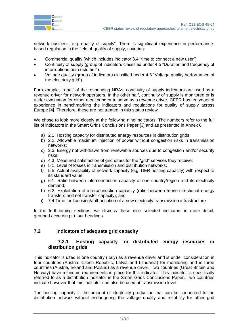

network business, e.g. quality of supply". There is significant experience in performancebased regulation in the field of quality of supply, covering:

- Commercial quality (which includes indicator 3.4 "time to connect a new user").
- Continuity of supply (group of indicators classified under 4.5 "Duration and frequency of interruptions per customer").
- Voltage quality (group of indicators classified under 4.6 "Voltage quality performance of the electricity grid").

For example, in half of the responding NRAs, continuity of supply indicators are used as a revenue driver for network operators. In the other half, continuity of supply is monitored or is under evaluation for either monitoring or to serve as a revenue driver. CEER has ten years of experience in benchmarking the indicators and regulations for quality of supply across Europe [\[4\].](#page-1-3) Therefore, these are not treated in this status review.

We chose to look more closely at the following nine indicators. The numbers refer to the full list of indicators in the Smart Grids Conclusions Paper [3] and as presented in Annex 6:

- a) 2.1. Hosting capacity for distributed energy resources in distribution grids;
- b) 2.2. Allowable maximum injection of power without congestion risks in transmission networks;
- c) 2.3. Energy not withdrawn from renewable sources due to congestion and/or security risks;
- d) 4.3. Measured satisfaction of grid users for the "grid" services they receive;
- e) 5.1. Level of losses in transmission and distribution networks;
- f) 5.5. Actual availability of network capacity (e.g. DER hosting capacity) with respect to its standard value;
- g) 6.1. Ratio between interconnection capacity of one country/region and its electricity demand;
- h) 6.2. Exploitation of interconnection capacity (ratio between mono-directional energy transfers and net transfer capacity); and
- i) 7.4 Time for licensing/authorisation of a new electricity transmission infrastructure.

In the forthcoming sections, we discuss these nine selected indicators in more detail, grouped according to four headings.

#### <span id="page-23-1"></span><span id="page-23-0"></span>**7.2 Indicators of adequate grid capacity**

#### **7.2.1 Hosting capacity for distributed energy resources in distribution grids**

This indicator is used in one country (Italy) as a revenue driver and is under consideration in four countries (Austria, Czech Republic, Latvia and Lithuania) for monitoring and in three countries (Austria, Ireland and Poland) as a revenue driver. Two countries (Great Britain and Norway) have minimum requirements in place for this indicator. This indicator is specifically referred to as a distribution indicator in the Smart Grids Conclusions Paper. Two countries indicate however that this indicator can also be used at transmission level.

The hosting capacity is the amount of electricity production that can be connected to the distribution network without endangering the voltage quality and reliability for other grid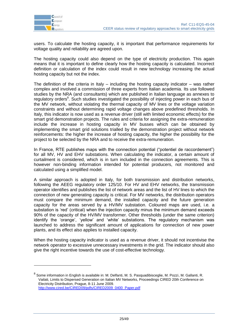

1

users. To calculate the hosting capacity, it is important that performance requirements for voltage quality and reliability are agreed upon.

The hosting capacity could also depend on the type of electricity production. This again means that it is important to define clearly how the hosting capacity is calculated. Incorrect definition or calculation of the index could result in new technology increasing the actual hosting capacity but not the index.

The definition of the criteria in Italy  $-$  including the hosting capacity indicator  $-$  was rather complex and involved a commission of three experts from Italian academia. Its use followed studies by the NRA (and consultants) which are published in Italian language as annexes to regulatory orders<sup>8</sup>. Such studies investigated the possibility of injecting power in each bus of the MV network, without violating the thermal capacity of MV lines or the voltage variation constraints and without determining rapid voltage changes above predefined thresholds. In Italy, this indicator is now used as a revenue driver (still with limited economic effects) for the smart grid demonstration projects. The rules and criteria for assigning the extra-remuneration include the increase in hosting capacity in MV busses which can be obtained by implementing the smart grid solutions trialled by the demonstration project without network reinforcements: the higher the increase of hosting capacity, the higher the possibility for the project to be selected by the NRA and to receive the extra-remuneration.

In France, RTE publishes maps with the connection potential ("potentiel de raccordement") for all MV, HV and EHV substations. When calculating the indicator, a certain amount of curtailment is considered, which is in turn included in the connection agreements. This is however non-binding information intended for potential producers, not monitored and calculated using a simplified model.

A similar approach is adopted in Italy, for both transmission and distribution networks, following the AEEG regulatory order 125/10. For HV and EHV networks, the transmission operator identifies and publishes the list of network areas and the list of HV lines to which the connection of new generating capacity is critical. For MV networks, the distribution operators must compare the minimum demand, the installed capacity and the future generation capacity for the areas served by a HV/MV substation. Coloured maps are used, i.e. a substation is "red" (critical) when the injection capacity minus the minimum demand exceeds 90% of the capacity of the HV/MV transformer. Other thresholds (under the same criterion) identify the "orange", "yellow" and "white" substations. The regulatory mechanism was launched to address the significant amount of applications for connection of new power plants, and its effect also applies to installed capacity.

When the hosting capacity indicator is used as a revenue driver, it should not incentivise the network operator to excessive unnecessary investments in the grid. The indicator should also give the right incentive towards the use of cost-effective technology.

<sup>&</sup>lt;sup>8</sup> Some information in English is available in: M. Delfanti, M. S. Pasquadibisceglie, M. Pozzi, M. Gallanti, R. Vailati, Limits to Dispersed Generation on Italian MV Networks, Proceedings CIRED 20th Conference on Electricity Distribution, Prague, 8-11 June 2009. [http://www.cired.be/CIRED09/pdfs/CIRED2009\\_0400\\_Paper.pdf](http://www.cired.be/CIRED09/pdfs/CIRED2009_0400_Paper.pdf)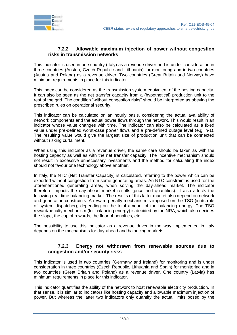

#### <span id="page-25-0"></span>**7.2.2 Allowable maximum injection of power without congestion risks in transmission networks**

This indicator is used in one country (Italy) as a revenue driver and is under consideration in three countries (Austria, Czech Republic and Lithuania) for monitoring and in two countries (Austria and Poland) as a revenue driver. Two countries (Great Britain and Norway) have minimum requirements in place for this indicator.

This index can be considered as the transmission system equivalent of the hosting capacity. It can also be seen as the net transfer capacity from a (hypothetical) production unit to the rest of the grid. The condition "without congestion risks" should be interpreted as obeying the prescribed rules on operational security.

This indicator can be calculated on an hourly basis, considering the actual availability of network components and the actual power flows through the network. This would result in an indicator whose value changes with time. The indicator can also be calculated as a fixed value under pre-defined worst-case power flows and a pre-defined outage level (e.g. n-1). The resulting value would give the largest size of production unit that can be connected without risking curtailment.

When using this indicator as a revenue driver, the same care should be taken as with the hosting capacity as well as with the net transfer capacity. The incentive mechanism should not result in excessive unnecessary investments and the method for calculating the index should not favour one technology above another.

In Italy, the NTC (Net Transfer Capacity) is calculated, referring to the power which can be exported without congestion from some generating areas. An NTC constraint is used for the aforementioned generating areas, when solving the day-ahead market. The indicator therefore impacts the day-ahead market results (price and quantities). It also affects the following real-time balancing market. The results of this latter market also depend on network and generation constraints. A reward-penalty mechanism is imposed on the TSO (in its role of system dispatcher), depending on the total amount of the balancing energy. The TSO reward/penalty mechanism (for balancing energy) is decided by the NRA, which also decides the slope, the cap of rewards, the floor of penalties, etc.

The possibility to use this indicator as a revenue driver in the way implemented in Italy depends on the mechanisms for day-ahead and balancing markets.

#### <span id="page-25-1"></span>**7.2.3 Energy not withdrawn from renewable sources due to congestion and/or security risks**

This indicator is used in two countries (Germany and Ireland) for monitoring and is under consideration in three countries (Czech Republic, Lithuania and Spain) for monitoring and in two countries (Great Britain and Poland) as a revenue driver. One country (Latvia) has minimum requirements in place for this indicator.

This indicator quantifies the ability of the network to host renewable electricity production. In that sense, it is similar to indicators like hosting capacity and allowable maximum injection of power. But whereas the latter two indicators only quantify the actual limits posed by the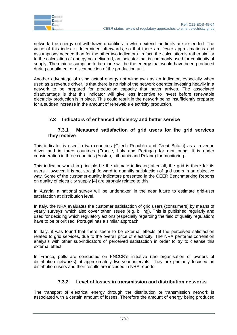

network, the energy not withdrawn quantifies to which extend the limits are exceeded. The value of this index is determined afterwards, so that there are fewer approximations and assumptions needed than for the other two indicators. In fact, the calculation is rather similar to the calculation of energy not delivered, an indicator that is commonly used for continuity of supply. The main assumption to be made will be the energy that would have been produced during curtailment or disconnection of the production unit.

Another advantage of using actual energy not withdrawn as an indicator, especially when used as a revenue driver, is that there is no risk of the network operator investing heavily in a network to be prepared for production capacity that never arrives. The associated disadvantage is that this indicator will give less incentive to invest before renewable electricity production is in place. This could result in the network being insufficiently prepared for a sudden increase in the amount of renewable electricity production.

# <span id="page-26-0"></span>**7.3 Indicators of enhanced efficiency and better service**

#### <span id="page-26-1"></span>**7.3.1 Measured satisfaction of grid users for the grid services they receive**

This indicator is used in two countries (Czech Republic and Great Britain) as a revenue driver and in three countries (France, Italy and Portugal) for monitoring. It is under consideration in three countries (Austria, Lithuania and Poland) for monitoring.

This indicator would in principle be the ultimate indicator; after all, the grid is there for its users. However, it is not straightforward to quantify satisfaction of grid users in an objective way. Some of the customer-quality indicators presented in the CEER Benchmarking Reports on quality of electricity supply [4] are strongly related to this.

In Austria, a national survey will be undertaken in the near future to estimate grid-user satisfaction at distribution level.

In Italy, the NRA evaluates the customer satisfaction of grid users (consumers) by means of yearly surveys, which also cover other issues (e.g. billing). This is published regularly and used for deciding which regulatory actions (especially regarding the field of quality regulation) have to be prioritised. Portugal has a similar approach.

In Italy, it was found that there seem to be external effects of the perceived satisfaction related to grid services, due to the overall price of electricity. The NRA performs correlation analysis with other sub-indicators of perceived satisfaction in order to try to cleanse this external effect.

In France, polls are conducted on FNCCR"s initiative (the organisation of owners of distribution networks) at approximately two-year intervals. They are primarily focused on distribution users and their results are included in NRA reports.

# **7.3.2 Level of losses in transmission and distribution networks**

<span id="page-26-2"></span>The transport of electrical energy through the distribution or transmission network is associated with a certain amount of losses. Therefore the amount of energy being produced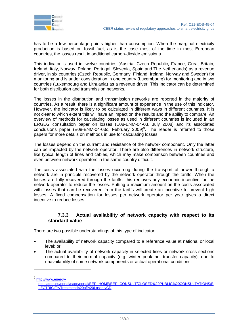

has to be a few percentage points higher than consumption. When the marginal electricity production is based on fossil fuel, as is the case most of the time in most European countries, the losses result in additional carbon-dioxide emissions.

This indicator is used in twelve countries (Austria, Czech Republic, France, Great Britain, Ireland, Italy, Norway, Poland, Portugal, Slovenia, Spain and The Netherlands) as a revenue driver, in six countries (Czech Republic, Germany, Finland, Ireland, Norway and Sweden) for monitoring and is under consideration in one country (Luxembourg) for monitoring and in two countries (Luxembourg and Lithuania) as a revenue driver. This indicator can be determined for both distribution and transmission networks.

The losses in the distribution and transmission networks are reported in the majority of countries. As a result, there is a significant amount of experience in the use of this indicator. However, the indicator is likely to be calculated in different ways in different countries. It is not clear to which extent this will have an impact on the results and the ability to compare. An overview of methods for calculating losses as used in different countries is included in an ERGEG consultation paper on losses (E08-ENM-04-03, July 2008) and its associated conclusions paper (E08-ENM-04-03c, February 2009)<sup>9</sup>. The reader is referred to those papers for more details on methods in use for calculating losses.

The losses depend on the current and resistance of the network component. Only the latter can be impacted by the network operator. There are also differences in network structure, like typical length of lines and cables, which may make comparison between countries and even between network operators in the same country difficult.

The costs associated with the losses occurring during the transport of power through a network are in principle recovered by the network operator through the tariffs. When the losses are fully recovered through the tariffs, this removes any economic incentive for the network operator to reduce the losses. Putting a maximum amount on the costs associated with losses that can be recovered from the tariffs will create an incentive to prevent high losses. A fixed compensation for losses per network operator per year gives a direct incentive to reduce losses.

#### <span id="page-27-0"></span>**7.3.3 Actual availability of network capacity with respect to its standard value**

There are two possible understandings of this type of indicator:

- The availability of network capacity compared to a reference value at national or local level; or
- The actual availability of network capacity in selected lines or network cross-sections compared to their normal capacity (e.g. winter peak net transfer capacity), due to unavailability of some network components or actual operational conditions.

<sup>9</sup> [http://www.energy-](http://www.energy-regulators.eu/portal/page/portal/EER_HOME/EER_CONSULT/CLOSED%20PUBLIC%20CONSULTATIONS/ELECTRICITY/Treatment%20of%20Losses/CD)

-

[regulators.eu/portal/page/portal/EER\\_HOME/EER\\_CONSULT/CLOSED%20PUBLIC%20CONSULTATIONS/E](http://www.energy-regulators.eu/portal/page/portal/EER_HOME/EER_CONSULT/CLOSED%20PUBLIC%20CONSULTATIONS/ELECTRICITY/Treatment%20of%20Losses/CD) [LECTRICITY/Treatment%20of%20Losses/CD](http://www.energy-regulators.eu/portal/page/portal/EER_HOME/EER_CONSULT/CLOSED%20PUBLIC%20CONSULTATIONS/ELECTRICITY/Treatment%20of%20Losses/CD)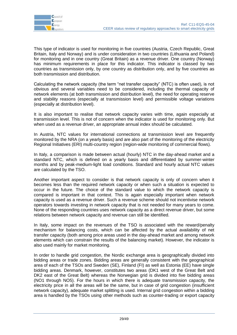

This type of indicator is used for monitoring in five countries (Austria, Czech Republic, Great Britain, Italy and Norway) and is under consideration in two countries (Lithuania and Poland) for monitoring and in one country (Great Britain) as a revenue driver. One country (Norway) has minimum requirements in place for this indicator. This indicator is classed by two countries as transmission only, by one country as distribution only, and by five countries as both transmission and distribution.

Calculating the network capacity (the term "net transfer capacity" (NTC) is often used), is not obvious and several variables need to be considered, including the thermal capacity of network elements (at both transmission and distribution level), the need for operating reserve and stability reasons (especially at transmission level) and permissible voltage variations (especially at distribution level).

It is also important to realise that network capacity varies with time, again especially at transmission level. This is not of concern when the indicator is used for monitoring only. But when used as a revenue driver, an appropriate annual index should be calculated.

In Austria, NTC values for international connections at transmission level are frequently monitored by the NRA (on a yearly basis) and are also part of the monitoring of the electricity Regional Initiatives (ERI) multi-country region (region-wide monitoring of commercial flows).

In Italy, a comparison is made between actual (hourly) NTC in the day-ahead market and a standard NTC, which is defined on a yearly basis and differentiated by summer-winter months and by peak-medium-light load conditions. Standard and hourly actual NTC values are calculated by the TSO.

Another important aspect to consider is that network capacity is only of concern when it becomes less than the required network capacity or when such a situation is expected to occur in the future. The choice of the standard value to which the network capacity is compared is important in that context. This is again especially important when network capacity is used as a revenue driver. Such a revenue scheme should not incentivise network operators towards investing in network capacity that is not needed for many years to come. None of the responding countries uses network capacity as a direct revenue driver, but some relations between network capacity and revenue can still be identified.

In Italy, some impact on the revenues of the TSO is associated with the reward/penalty mechanism for balancing costs, which can be affected by the actual availability of net transfer capacity (both among price areas used in the day-ahead market and among network elements which can constrain the results of the balancing market). However, the indicator is also used mainly for market monitoring.

In order to handle grid congestion, the Nordic exchange area is geographically divided into bidding areas or trade zones. Bidding areas are generally consistent with the geographical area of each of the TSOs and Sweden (SE), Finland (FI) as well as Estonia (EE) have single bidding areas. Denmark, however, constitutes two areas (DK1 west of the Great Belt and DK2 east of the Great Belt) whereas the Norwegian grid is divided into five bidding areas (NO1 through NO5). For the hours in which there is adequate transmission capacity, the electricity price in all the areas will be the same, but in case of grid congestion (insufficient network capacity), adequate market splitting is used. Internal grid congestion within a bidding area is handled by the TSOs using other methods such as counter-trading or export capacity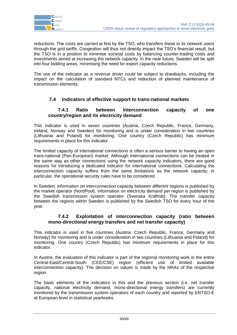

reductions. The costs are carried at first by the TSO, who transfers these to its network users through the grid tariffs. Congestion will thus not directly impact the TSO"s financial result, but the TSO is in a position to minimise societal costs by balancing counter-trading costs and investments aimed at increasing the network capacity. In the near future, Sweden will be split into four bidding areas, minimising the need for export capacity reductions.

The use of the indicator as a revenue driver could be subject to drawbacks, including the impact on the calculation of standard NTCs and reduction of planned maintenance of transmission elements.

# <span id="page-29-0"></span>**7.4 Indicators of effective support to trans-national markets**

#### <span id="page-29-1"></span>**7.4.1 Ratio between interconnection capacity of one country/region and its electricity demand**

This indicator is used in seven countries (Austria, Czech Republic, France, Germany, Ireland, Norway and Sweden) for monitoring and is under consideration in two countries (Lithuania and Poland) for monitoring. One country (Czech Republic) has minimum requirements in place for this indicator.

The limited capacity of international connections is often a serious barrier to having an open trans-national (Pan-European) market. Although international connections can be treated in the same way as other connections using the network capacity indicators, there are good reasons for introducing a dedicated indicator for international connections. Calculating the interconnection capacity suffers from the same limitations as the network capacity; in particular, the operational security rules have to be considered.

In Sweden, information on interconnection capacity between different regions is published by the market operator (NordPool). Information on electricity demand per region is published by the Swedish transmission system operator (Svenska Kraftnät). The transfer capacity between the regions within Sweden is published by the Swedish TSO for every hour of the year.

#### <span id="page-29-2"></span>**7.4.2 Exploitation of interconnection capacity (ratio between mono-directional energy transfers and net transfer capacity)**

This indicator is used in five countries (Austria, Czech Republic, France, Germany and Norway) for monitoring and is under consideration in two countries (Lithuania and Poland) for monitoring. One country (Czech Republic) has minimum requirements in place for this indicator.

In Austria, the evaluation of this indicator is part of the regional monitoring work in the entire Central-East/Central-South (CEE/CSE) region (efficient use of limited available interconnection capacity). The decision on values is made by the NRAs of the respective region.

The basic elements of the indicators in this and the previous section (i.e. net transfer capacity, national electricity demand, mono-directional energy transfers) are currently monitored by the transmission system operators of each country and reported by ENTSO-E at European level in statistical yearbooks.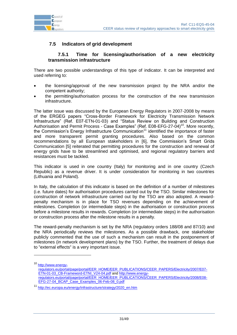



# <span id="page-30-0"></span>**7.5 Indicators of grid development**

#### <span id="page-30-1"></span>**7.5.1 Time for licensing/authorisation of a new electricity transmission infrastructure**

There are two possible understandings of this type of indicator. It can be interpreted and used referring to:

- the licensing/approval of the new transmission project by the NRA and/or the competent authority;
- the permitting/authorisation process for the construction of the new transmission infrastructure.

The latter issue was discussed by the European Energy Regulators in 2007-2008 by means of the ERGEG papers "Cross-Border Framework for Electricity Transmission Network Infrastructure" (Ref. E07-ETN-01-03) and "Status Review on Building and Construction Authorisation and Permit Process - Case Examples" (Ref. E08-EFG-27-04)<sup>10</sup>. More recently, the Commission's Energy Infrastructure Communication<sup>11</sup> identified the importance of faster and more transparent permit granting procedures. Also based on the common recommendations by all European stakeholders in [\[6\],](#page-2-1) the Commission's Smart Grids Communication [\[5\]](#page-2-0) reiterated that permitting procedures for the construction and renewal of energy grids have to be streamlined and optimised, and regional regulatory barriers and resistances must be tackled.

This indicator is used in one country (Italy) for monitoring and in one country (Czech Republic) as a revenue driver. It is under consideration for monitoring in two countries (Lithuania and Poland).

In Italy, the calculation of this indicator is based on the definition of a number of milestones (i.e. future dates) for authorisation procedures carried out by the TSO. Similar milestones for construction of network infrastructure carried out by the TSO are also adopted. A rewardpenalty mechanism is in place for TSO revenues depending on the achievement of milestones. Completion (or intermediate steps) in the authorisation or construction process before a milestone results in rewards. Completion (or intermediate steps) in the authorisation or construction process after the milestone results in a penalty.

The reward-penalty mechanism is set by the NRA (regulatory orders 188/08 and 87/10) and the NRA periodically reviews the milestones. As a possible drawback, one stakeholder publicly commented that the use of such a mechanism can result in the postponement of milestones (in network development plans) by the TSO. Further, the treatment of delays due to "external effects" is a very important issue.

-

<sup>10</sup> [http://www.energy](http://www.energy-regulators.eu/portal/page/portal/EER_HOME/EER_PUBLICATIONS/CEER_PAPERS/Electricity/2007/E07-ETN-01-03_CB-Frameword-ETNI_V24-04.pdf)[regulators.eu/portal/page/portal/EER\\_HOME/EER\\_PUBLICATIONS/CEER\\_PAPERS/Electricity/2007/E07-](http://www.energy-regulators.eu/portal/page/portal/EER_HOME/EER_PUBLICATIONS/CEER_PAPERS/Electricity/2007/E07-ETN-01-03_CB-Frameword-ETNI_V24-04.pdf) [ETN-01-03\\_CB-Frameword-ETNI\\_V24-04.pdf](http://www.energy-regulators.eu/portal/page/portal/EER_HOME/EER_PUBLICATIONS/CEER_PAPERS/Electricity/2007/E07-ETN-01-03_CB-Frameword-ETNI_V24-04.pdf) and [http://www.energy](http://www.energy-regulators.eu/portal/page/portal/EER_HOME/EER_PUBLICATIONS/CEER_PAPERS/Electricity/2008/E08-EFG-27-04_BCAP_Case_Examples_06-Feb-08_0.pdf)[regulators.eu/portal/page/portal/EER\\_HOME/EER\\_PUBLICATIONS/CEER\\_PAPERS/Electricity/2008/E08-](http://www.energy-regulators.eu/portal/page/portal/EER_HOME/EER_PUBLICATIONS/CEER_PAPERS/Electricity/2008/E08-EFG-27-04_BCAP_Case_Examples_06-Feb-08_0.pdf) EFG-27-04 BCAP Case Examples 06-Feb-08 0.pdf

<sup>11</sup> [http://ec.europa.eu/energy/infrastructure/strategy/2020\\_en.htm](http://ec.europa.eu/energy/infrastructure/strategy/2020_en.htm)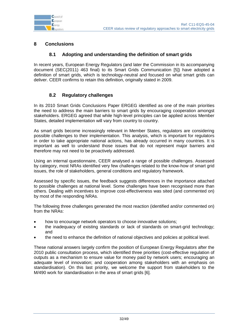

# <span id="page-31-0"></span>**8 Conclusions**

#### **8.1 Adopting and understanding the definition of smart grids**

<span id="page-31-1"></span>In recent years, European Energy Regulators (and later the Commission in its accompanying document (SEC(2011) 463 final) to its Smart Grids Communication [\[5\]\)](#page-2-0) have adopted a definition of smart grids, which is technology-neutral and focused on what smart grids can deliver. CEER confirms to retain this definition, originally stated in 2009.

## **8.2 Regulatory challenges**

<span id="page-31-2"></span>In its 2010 Smart Grids Conclusions Paper ERGEG identified as one of the main priorities the need to address the main barriers to smart grids by encouraging cooperation amongst stakeholders. ERGEG agreed that while high-level principles can be applied across Member States, detailed implementation will vary from country to country.

As smart grids become increasingly relevant in Member States, regulators are considering possible challenges to their implementation. This analysis, which is important for regulators in order to take appropriate national actions, has already occurred in many countries. It is important as well to understand those issues that do not represent major barriers and therefore may not need to be proactively addressed.

Using an internal questionnaire, CEER analysed a range of possible challenges. Assessed by category, most NRAs identified very few challenges related to the know-how of smart grid issues, the role of stakeholders, general conditions and regulatory framework.

Assessed by specific issues, the feedback suggests differences in the importance attached to possible challenges at national level. Some challenges have been recognised more than others. Dealing with incentives to improve cost-effectiveness was sited (and commented on) by most of the responding NRAs.

The following three challenges generated the most reaction (identified and/or commented on) from the NRAs:

- how to encourage network operators to choose innovative solutions;
- the inadequacy of existing standards or lack of standards on smart-grid technology; and
- the need to enhance the definition of national objectives and policies at political level.

These national answers largely confirm the position of European Energy Regulators after the 2010 public consultation process, which identified three priorities (cost-effective regulation of outputs as a mechanism to ensure value for money paid by network users; encouraging an adequate level of innovation; and cooperation among stakeholders with an emphasis on standardisation). On this last priority, we welcome the support from stakeholders to the M/490 work for standardisation in the area of smart grids [\[6\].](#page-2-1)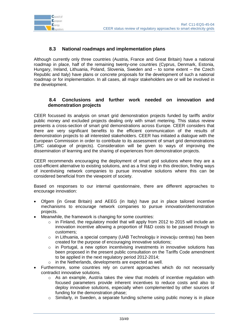

# **8.3 National roadmaps and implementation plans**

<span id="page-32-0"></span>Although currently only three countries (Austria, France and Great Britain) have a national roadmap in place, half of the remaining twenty-one countries (Cyprus, Denmark, Estonia, Hungary, Ireland, Lithuania, Poland, Slovenia, Sweden and – to some extent – the Czech Republic and Italy) have plans or concrete proposals for the development of such a national roadmap or for implementation. In all cases, all major stakeholders are or will be involved in the development.

## <span id="page-32-1"></span>**8.4 Conclusions and further work needed on innovation and demonstration projects**

CEER focussed its analysis on smart grid demonstration projects funded by tariffs and/or public money and excluded projects dealing only with smart metering. This status review presents a cross-section of smart grid demonstrations across Europe. CEER considers that there are very significant benefits to the efficient communication of the results of demonstration projects to all interested stakeholders. CEER has initiated a dialogue with the European Commission in order to contribute to its assessment of smart grid demonstrations (JRC catalogue of projects). Consideration will be given to ways of improving the dissemination of learning and the sharing of experiences from demonstration projects.

CEER recommends encouraging the deployment of smart grid solutions where they are a cost-efficient alternative to existing solutions, and as a first step in this direction, finding ways of incentivising network companies to pursue innovative solutions where this can be considered beneficial from the viewpoint of society.

Based on responses to our internal questionnaire, there are different approaches to encourage innovation:

- Ofgem (in Great Britain) and AEEG (in Italy) have put in place tailored incentive mechanisms to encourage network companies to pursue innovation/demonstration projects.
- Meanwhile, the framework is changing for some countries:
	- $\circ$  in Finland, the regulatory model that will apply from 2012 to 2015 will include an innovation incentive allowing a proportion of R&D costs to be passed through to customers;
	- o in Lithuania, a special company (UAB Technologiju ir inovaciju centras) has been created for the purpose of encouraging innovative solutions;
	- o in Portugal, a new option incentivising investments in innovative solutions has been proposed in the present public consultation on the Tariffs Code amendment to be applied in the next regulatory period 2012-2014;
	- o in the Netherlands, developments are expected as well.
- Furthermore, some countries rely on current approaches which do not necessarily contradict innovative solutions.
	- $\circ$  As an example, Austria takes the view that models of incentive regulation with focused parameters provide inherent incentives to reduce costs and also to deploy innovative solutions, especially when complemented by other sources of funding for the demonstration phase;
	- o Similarly, in Sweden, a separate funding scheme using public money is in place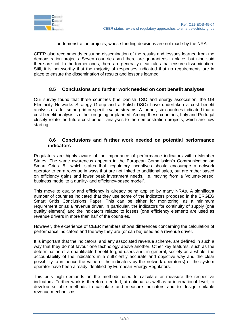

for demonstration projects, whose funding decisions are not made by the NRA.

CEER also recommends ensuring dissemination of the results and lessons learned from the demonstration projects. Seven countries said there are guarantees in place, but nine said there are not. In the former ones, there are generally clear rules that ensure dissemination. Still, it is noteworthy that the majority of responses indicated that no requirements are in place to ensure the dissemination of results and lessons learned.

## **8.5 Conclusions and further work needed on cost benefit analyses**

<span id="page-33-0"></span>Our survey found that three countries (the Danish TSO and energy association, the GB Electricity Networks Strategy Group and a Polish DSO) have undertaken a cost benefit analysis of a full smart grid or specific value streams. A further, six countries indicated that a cost benefit analysis is either on-going or planned. Among these countries, Italy and Portugal closely relate the future cost benefit analyses to the demonstration projects, which are now starting.

#### <span id="page-33-1"></span>**8.6 Conclusions and further work needed on potential performance indicators**

Regulators are highly aware of the importance of performance indicators within Member States. The same awareness appears in the European Commission's Communication on Smart Grids [\[5\],](#page-2-0) which states that "regulatory incentives should encourage a network operator to earn revenue in ways that are not linked to additional sales, but are rather based on efficiency gains and lower peak investment needs, i.e. moving from a "volume-based" business model to a quality- and efficiency-based model".

This move to quality and efficiency is already being applied by many NRAs. A significant number of countries indicated that they use some of the indicators proposed in the ERGEG Smart Grids Conclusions Paper. This can be either for monitoring, as a minimum requirement or as a revenue driver. In particular, the indicators for continuity of supply (one quality element) and the indicators related to losses (one efficiency element) are used as revenue drivers in more than half of the countries.

However, the experience of CEER members shows differences concerning the calculation of performance indicators and the way they are (or can be) used as a revenue driver.

It is important that the indicators, and any associated revenue scheme, are defined in such a way that they do not favour one technology above another. Other key features, such as the determination of a quantifiable benefit to grid users and, in general, society as a whole, the accountability of the indicators in a sufficiently accurate and objective way and the clear possibility to influence the value of the indicators by the network operator(s) or the system operator have been already identified by European Energy Regulators.

This puts high demands on the methods used to calculate or measure the respective indicators. Further work is therefore needed, at national as well as at international level, to develop suitable methods to calculate and measure indicators and to design suitable revenue mechanisms.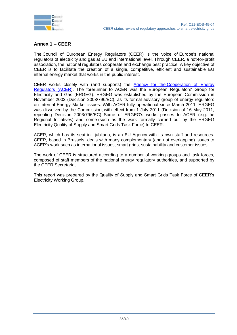

# <span id="page-34-0"></span>**Annex 1 – CEER**

The Council of European Energy Regulators (CEER) is the voice of Europe's national regulators of electricity and gas at EU and international level. Through CEER, a not-for-profit association, the national regulators cooperate and exchange best practice. A key objective of CEER is to facilitate the creation of a single, competitive, efficient and sustainable EU internal energy market that works in the public interest.

CEER works closely with (and supports) the Agency for the [Cooperation of Energy](http://www.acer.europa.eu/portal/page/portal/ACER_HOME)  [Regulators \(ACER\)](http://www.acer.europa.eu/portal/page/portal/ACER_HOME). The forerunner to ACER was the European Regulators' Group for Electricity and Gas (ERGEG). ERGEG was established by the European Commission in November 2003 (Decision 2003/796/EC), as its formal advisory group of energy regulators on Internal Energy Market issues. With ACER fully operational since March 2011, ERGEG was dissolved by the Commission, with effect from 1 July 2011 (Decision of 16 May 2011, repealing Decision 2003/796/EC). Some of ERGEG's works passes to ACER (e.g. the Regional Initiatives) and some (such as the work formally carried out by the ERGEG Electricity Quality of Supply and Smart Grids Task Force) to CEER.

ACER, which has its seat in Ljubljana, is an EU Agency with its own staff and resources. CEER, based in Brussels, deals with many complementary (and not overlapping) issues to ACER's work such as international issues, smart grids, sustainability and customer issues.

The work of CEER is structured according to a number of working groups and task forces, composed of staff members of the national energy regulatory authorities, and supported by the CEER Secretariat.

This report was prepared by the Quality of Supply and Smart Grids Task Force of CEER"s Electricity Working Group.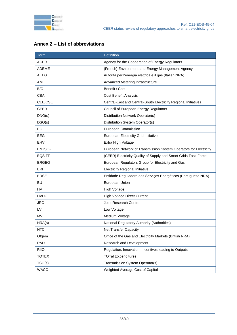

<span id="page-35-0"></span>

| Annex 2 – List of abbreviations |  |  |
|---------------------------------|--|--|
|---------------------------------|--|--|

| Term          | <b>Definition</b>                                                 |  |
|---------------|-------------------------------------------------------------------|--|
| <b>ACER</b>   | Agency for the Cooperation of Energy Regulators                   |  |
| ADEME         | (French) Environment and Energy Management Agency                 |  |
| <b>AEEG</b>   | Autorità per l'energia elettrica e il gas (Italian NRA)           |  |
| AMI           | Advanced Metering Infrastructure                                  |  |
| B/C           | Benefit / Cost                                                    |  |
| CBA           | <b>Cost Benefit Analysis</b>                                      |  |
| CEE/CSE       | Central-East and Central-South Electricity Regional Initiatives   |  |
| <b>CEER</b>   | Council of European Energy Regulators                             |  |
| DNO(s)        | Distribution Network Operator(s)                                  |  |
| DSO(s)        | Distribution System Operator(s)                                   |  |
| EC            | European Commission                                               |  |
| EEGI          | European Electricity Grid Initiative                              |  |
| EHV           | Extra High Voltage                                                |  |
| ENTSO-E       | European Network of Transmission System Operators for Electricity |  |
| <b>EQS TF</b> | (CEER) Electricity Quality of Supply and Smart Grids Task Force   |  |
| <b>ERGEG</b>  | European Regulators Group for Electricity and Gas                 |  |
| ERI           | <b>Electricity Regional Initiative</b>                            |  |
| <b>ERSE</b>   | Entidade Reguladora dos Serviços Energéticos (Portuguese NRA)     |  |
| EU            | European Union                                                    |  |
| <b>HV</b>     | <b>High Voltage</b>                                               |  |
| <b>HVDC</b>   | <b>High Voltage Direct Current</b>                                |  |
| <b>JRC</b>    | Joint Research Centre                                             |  |
| LV            | Low Voltage                                                       |  |
| MV            | Medium Voltage                                                    |  |
| NRA(s)        | National Regulatory Authority (Authorities)                       |  |
| <b>NTC</b>    | <b>Net Transfer Capacity</b>                                      |  |
| Ofgem         | Office of the Gas and Electricity Markets (British NRA)           |  |
| R&D           | Research and Development                                          |  |
| <b>RIIO</b>   | Regulation, Innovation, Incentives leading to Outputs             |  |
| <b>TOTEX</b>  | <b>TOTal EXpenditures</b>                                         |  |
| TSO(s)        | Transmission System Operator(s)                                   |  |
| <b>WACC</b>   | Weighted Average Cost of Capital                                  |  |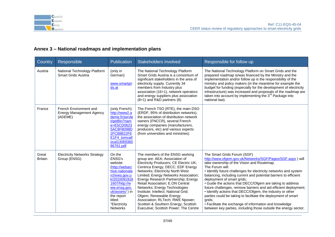

# **Annex 3 – National roadmaps and implementation plans**

<span id="page-36-0"></span>

| Country                 | Responsible                                                          | Publication                                                                                                                                                                                                     | <b>Stakeholders involved</b>                                                                                                                                                                                                                                                                                                                                                                                                                                                                                                      | Responsible for follow up                                                                                                                                                                                                                                                                                                                                                                                                                                                                                                                                                                                                                                                                                                             |
|-------------------------|----------------------------------------------------------------------|-----------------------------------------------------------------------------------------------------------------------------------------------------------------------------------------------------------------|-----------------------------------------------------------------------------------------------------------------------------------------------------------------------------------------------------------------------------------------------------------------------------------------------------------------------------------------------------------------------------------------------------------------------------------------------------------------------------------------------------------------------------------|---------------------------------------------------------------------------------------------------------------------------------------------------------------------------------------------------------------------------------------------------------------------------------------------------------------------------------------------------------------------------------------------------------------------------------------------------------------------------------------------------------------------------------------------------------------------------------------------------------------------------------------------------------------------------------------------------------------------------------------|
| Austria                 | National Technology Platform<br>Smart Grids Austria                  | (only in<br>German)<br>www.smartgri<br>ds.at                                                                                                                                                                    | The National Technology Platform<br>Smart Grids Austria is a consortium of<br>significant stakeholders in the area of<br>electricity supply. Currently 34<br>members from Industry plus<br>association (16+1), network operators<br>and energy suppliers plus association<br>$(8+1)$ and R&D partners $(8)$ .                                                                                                                                                                                                                     | The National Technology Platform on Smart Grids and the<br>prepared roadmap is/was financed by the Ministry and the<br>implementation and/or follow up is the responsibility of the<br>ministry and policy makers (in the meantime for example the<br>budget for funding (especially for the development of electricity<br>infrastructure) was increased and proposals of the roadmap are<br>taken into account by implementing the 3 <sup>rd</sup> Package into<br>national law).                                                                                                                                                                                                                                                    |
| France                  | French Environment and<br><b>Energy Management Agency</b><br>(ADEME) | (only French):<br>http://www2.a<br>deme.fr/servle<br>t/getBin?nam<br>e=E5CD0623<br>5AC8FB098D<br>2FC88B22F6<br>E1F4_tomcatl<br>ocal13069360<br>86761.pdf                                                        | The French TSO (RTE), the main DSO<br>(ERDF, 95% of distribution networks),<br>the association of distribution network<br>owners (FNCCR), several French<br>energy companies (manufacturers,<br>producers, etc) and various experts<br>(from universities and ministries).                                                                                                                                                                                                                                                        |                                                                                                                                                                                                                                                                                                                                                                                                                                                                                                                                                                                                                                                                                                                                       |
| Great<br><b>Britain</b> | <b>Electricity Networks Strategy</b><br>Group (ENSG)                 | On the<br>ENSG's<br>website<br>(http://webarc<br>hive.nationala<br>rchives.gov.u<br>k/2010091918<br>1607/http://w<br>ww.ensq.gov.<br>uk/assets/) in<br>the report<br>titled:<br>"Electricity<br><b>Networks</b> | The members of the ENSG working<br>group are: AEA; Association of<br>Electricity Producers; CE Electric UK;<br>Centrica Energy, DECC; EDF Energy<br>Networks; Electricity North West<br>Limited; Energy Networks Association;<br>Energy Research Partnership; Energy<br>Retail Association; E.ON Central<br>Networks; Energy Technologies<br>Institute; Intellect; National Grid;<br>Ofgem; Renewable Energy<br>Association; RLTech; RWE Npower;<br>Scottish & Southern Energy; Scottish<br>Executive; Scottish Power; The Centre | The Smart Grids Forum (SGF)<br>http://www.ofgem.gov.uk/Networks/SGF/Pages/SGF.aspx) will<br>take ownership of the Vision and Routemap.<br>The Forum will:<br>• Identify future challenges for electricity networks and system<br>balancing, including current and potential barriers to efficient<br>deployment of smart grids;<br>• Guide the actions that DECC/Ofgem are taking to address<br>future challenges, remove barriers and aid efficient deployment;<br>• Identify actions that DECC/Ofgem, the industry or other<br>parties could be taking to facilitate the deployment of smart<br>grids;<br>• Facilitate the exchange of information and knowledge<br>between key parties, including those outside the energy sector; |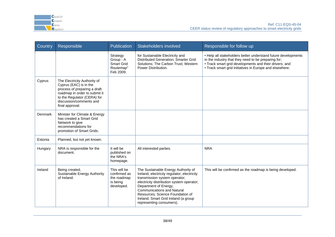

| Country | Responsible                                                                                                                                                                                          | Publication                                                           | <b>Stakeholders involved</b>                                                                                                                                                                                                                                                                                                           | Responsible for follow up                                                                                                                                                                                                                 |
|---------|------------------------------------------------------------------------------------------------------------------------------------------------------------------------------------------------------|-----------------------------------------------------------------------|----------------------------------------------------------------------------------------------------------------------------------------------------------------------------------------------------------------------------------------------------------------------------------------------------------------------------------------|-------------------------------------------------------------------------------------------------------------------------------------------------------------------------------------------------------------------------------------------|
|         |                                                                                                                                                                                                      | Strategy<br>Group - A<br><b>Smart Grid</b><br>Routemap"<br>Feb 2009.  | for Sustainable Electricity and<br>Distributed Generation; Smarter Grid<br>Solutions; The Carbon Trust; Western<br>Power Distribution.                                                                                                                                                                                                 | • Help all stakeholders better understand future developments<br>in the industry that they need to be preparing for;<br>• Track smart grid developments and their drivers; and<br>• Track smart grid initiatives in Europe and elsewhere. |
| Cyprus  | The Electricity Authority of<br>Cyprus (EAC) is in the<br>process of preparing a draft<br>roadmap in order to submit it<br>to the Regulator (CERA) for<br>discussion/comments and<br>final approval. |                                                                       |                                                                                                                                                                                                                                                                                                                                        |                                                                                                                                                                                                                                           |
| Denmark | Minister for Climate & Energy<br>has created a Smart Grid<br>Network to give<br>recommendations for<br>promotion of Smart Grids.                                                                     |                                                                       |                                                                                                                                                                                                                                                                                                                                        |                                                                                                                                                                                                                                           |
| Estonia | Planned, but not yet known.                                                                                                                                                                          |                                                                       |                                                                                                                                                                                                                                                                                                                                        |                                                                                                                                                                                                                                           |
| Hungary | NRA is responsible for the<br>document.                                                                                                                                                              | It will be<br>published on<br>the NRA's<br>homepage.                  | All interested parties.                                                                                                                                                                                                                                                                                                                | <b>NRA</b>                                                                                                                                                                                                                                |
| Ireland | Being created,<br>Sustainable Energy Authority<br>of Ireland.                                                                                                                                        | This will be<br>confirmed as<br>the roadmap<br>is being<br>developed. | The Sustainable Energy Authority of<br>Ireland; electricity regulator; electricity<br>transmission system operator;<br>electricity distribution system operator;<br>Department of Energy,<br><b>Communications and Natural</b><br>Resources; Science Foundation of<br>Ireland; Smart Grid Ireland (a group<br>representing consumers). | This will be confirmed as the roadmap is being developed.                                                                                                                                                                                 |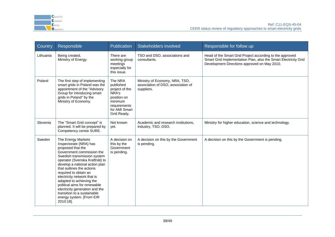

| Country   | Responsible                                                                                                                                                                                                                                                                                                                                                                                                                                                  | <b>Publication</b>                                                                                                        | Stakeholders involved                                                              | Responsible for follow up                                                                                                                                                   |
|-----------|--------------------------------------------------------------------------------------------------------------------------------------------------------------------------------------------------------------------------------------------------------------------------------------------------------------------------------------------------------------------------------------------------------------------------------------------------------------|---------------------------------------------------------------------------------------------------------------------------|------------------------------------------------------------------------------------|-----------------------------------------------------------------------------------------------------------------------------------------------------------------------------|
| Lithuania | Being created,<br>Ministry of Energy.                                                                                                                                                                                                                                                                                                                                                                                                                        | There are<br>working group<br>meetings<br>especially for<br>this issue.                                                   | TSO and DSO, associations and<br>consultants.                                      | Head of the Smart Grid Project according to the approved<br>Smart Grid Implementation Plan, also the Smart Electricity Grid<br>Development Directions approved on May 2010. |
| Poland    | The first step of implementing<br>smart grids in Poland was the<br>appointment of the "Advisory<br>Group for introducing smart<br>grids in Poland" by the<br>Ministry of Economy.                                                                                                                                                                                                                                                                            | The NRA<br>published<br>project of the<br>NRA's<br>position on<br>minimum<br>requirements<br>for AMI Smart<br>Grid Ready. | Ministry of Economy, NRA, TSO,<br>association of DSO, association of<br>suppliers. |                                                                                                                                                                             |
| Slovenia  | The "Smart Grid concept" is<br>planned. It will be prepared by<br>Competency centre SURE.                                                                                                                                                                                                                                                                                                                                                                    | Not known<br>yet.                                                                                                         | Academic and research institutions,<br>industry, TSO, DSO.                         | Ministry for higher education, science and technology.                                                                                                                      |
| Sweden    | The Energy Markets<br>Inspectorate (NRA) has<br>proposed that the<br>Government commission the<br>Swedish transmission system<br>operator (Svenska Kraftnät) to<br>develop a national action plan<br>that outlines the actions<br>required to obtain an<br>electricity network that is<br>adapted to achieving the<br>political aims for renewable<br>electricity generation and the<br>transition to a sustainable<br>energy system. [From EIR<br>2010:18]. | A decision on<br>this by the<br>Government<br>is pending.                                                                 | A decision on this by the Government<br>is pending.                                | A decision on this by the Government is pending.                                                                                                                            |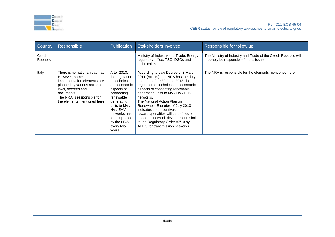

| Country           | Responsible                                                                                                                                                                                                   | <b>Publication</b>                                                                                                                                                                                                      | <b>Stakeholders involved</b>                                                                                                                                                                                                                                                                                                                                                                                                                                                                             | Responsible for follow up                                                                                |
|-------------------|---------------------------------------------------------------------------------------------------------------------------------------------------------------------------------------------------------------|-------------------------------------------------------------------------------------------------------------------------------------------------------------------------------------------------------------------------|----------------------------------------------------------------------------------------------------------------------------------------------------------------------------------------------------------------------------------------------------------------------------------------------------------------------------------------------------------------------------------------------------------------------------------------------------------------------------------------------------------|----------------------------------------------------------------------------------------------------------|
| Czech<br>Republic |                                                                                                                                                                                                               |                                                                                                                                                                                                                         | Ministry of Industry and Trade, Energy<br>regulatory office, TSO, DSOs and<br>technical experts.                                                                                                                                                                                                                                                                                                                                                                                                         | The Ministry of Industry and Trade of the Czech Republic will<br>probably be responsible for this issue. |
| Italy             | There is no national roadmap.<br>However, some<br>implementation elements are<br>planned by various national<br>laws, decrees and<br>documents.<br>The NRA is responsible for<br>the elements mentioned here. | After 2013,<br>the regulation<br>of technical<br>and economic<br>aspects of<br>connecting<br>renewable<br>generating<br>units to MV /<br>HV / EHV<br>networks has<br>to be updated<br>by the NRA<br>every two<br>years. | According to Law Decree of 3 March<br>2011 (Art. 19), the NRA has the duty to<br>update, before 30 June 2013, the<br>regulation of technical and economic<br>aspects of connecting renewable<br>generating units to MV / HV / EHV<br>networks.<br>The National Action Plan on<br>Renewable Energies of July 2010<br>indicates that incentives or<br>rewards/penalties will be defined to<br>speed up network development, similar<br>to the Regulatory Order 87/10 by<br>AEEG for transmission networks. | The NRA is responsible for the elements mentioned here.                                                  |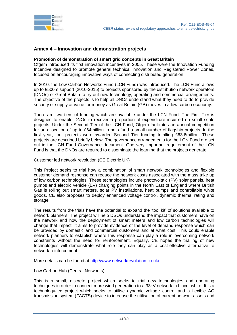

#### <span id="page-40-0"></span>**Annex 4 – Innovation and demonstration projects**

#### **Promotion of demonstration of smart grid concepts in Great Britain**

Ofgem introduced its first innovation incentives in 2005. These were the Innovation Funding Incentive designed to promote general technical innovation and Registered Power Zones, focused on encouraging innovative ways of connecting distributed generation.

In 2010, the Low Carbon Networks Fund (LCN Fund) was introduced. The LCN Fund allows up to £500m support (2010-2015) to projects sponsored by the distribution network operators (DNOs) of Great Britain to try out new technology, operating and commercial arrangements. The objective of the projects is to help all DNOs understand what they need to do to provide security of supply at value for money as Great Britain (GB) moves to a low carbon economy.

There are two tiers of funding which are available under the LCN Fund. The First Tier is designed to enable DNOs to recover a proportion of expenditure incurred on small scale projects. Under the Second Tier of the LCN Fund, Ofgem facilitates an annual competition for an allocation of up to £64million to help fund a small number of flagship projects. In the first year, four projects were awarded Second Tier funding totalling £63.6million. These projects are described briefly below. The governance arrangements for the LCN Fund are set out in the LCN Fund Governance document. One very important requirement of the LCN Fund is that the DNOs are required to disseminate the learning that the projects generate.

#### Customer led network revolution (CE Electric UK)

This Project seeks to trial how a combination of smart network technologies and flexible customer demand response can reduce the network costs associated with the mass take up of low carbon technologies. These technologies include photovoltaic (PV) solar panels, heat pumps and electric vehicle (EV) charging points in the North East of England where British Gas is rolling out smart meters, solar PV installations, heat pumps and controllable white goods. CE also proposes to deploy enhanced voltage control, dynamic thermal rating and storage.

The results from the trials have the potential to expand the "tool kit" of solutions available to network planners. The project will help DSOs understand the impact that customers have on the network and how the deployment of smart meters and low carbon technologies will change that impact. It aims to provide evidence of the level of demand response which can be provided by domestic and commercial customers and at what cost. This could enable network planners to establish where this response can play a role in overcoming network constraints without the need for reinforcement. Equally, CE hopes the trialling of new technologies will demonstrate what role they can play as a cost-effective alternative to network reinforcement.

More details can be found at<http://www.networkrevolution.co.uk/>

#### Low Carbon Hub (Central Networks)

This is a small, discrete project which seeks to trial new technologies and operating techniques in order to connect more wind generation to a 33kV network in Lincolnshire. It is a technology-led project which seeks to utilise dynamic voltage control and a flexible AC transmission system (FACTS) device to increase the utilisation of current network assets and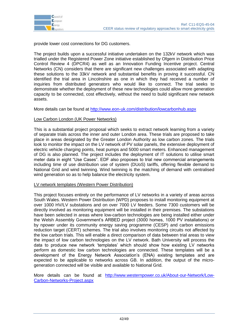

provide lower cost connections for DG customers.

The project builds upon a successful initiative undertaken on the 132kV network which was trialled under the Registered Power Zone initiative established by Ofgem in Distribution Price Control Review 4 (DPCR4) as well as an Innovation Funding Incentive project. Central Networks (CN) considers that there are significant new challenges associated with adapting these solutions to the 33kV network and substantial benefits in proving it successful. CN identified the trial area in Lincolnshire as one in which they had received a number of inquiries from distributed generators who would like to connect. The trial seeks to demonstrate whether the deployment of these new technologies could allow more generation capacity to be connected, cost effectively, without the need to build significant new network assets.

More details can be found at<http://www.eon-uk.com/distribution/lowcarbonhub.aspx>

#### Low Carbon London (UK Power Networks)

This is a substantial project proposal which seeks to extract network learning from a variety of separate trials across the inner and outer London area. These trials are proposed to take place in areas designated by the Greater London Authority as low carbon zones. The trials look to monitor the impact on the LV network of PV solar panels, the extensive deployment of electric vehicle charging points, heat pumps and 5000 smart meters. Enhanced management of DG is also planned. The project includes the deployment of IT solutions to utilise smart meter data in eight "Use Cases". EDF also proposes to trial new commercial arrangements including time of use distribution use of system (DUoS) tariffs, offering flexible demand to National Grid and wind twinning. Wind twinning is the matching of demand with centralised wind generation so as to help balance the electricity system.

#### LV network templates (Western Power Distribution)

This project focuses entirely on the performance of LV networks in a variety of areas across South Wales. Western Power Distribution (WPD) proposes to install monitoring equipment at over 1000 HV/LV substations and on over 7000 LV feeders. Some 7300 customers will be directly involved as monitoring equipment will be installed in their premises. The substations have been selected in areas where low-carbon technologies are being installed either under the Welsh Assembly Government"s ARBED project (3000 homes, 1000 PV installations) or by npower under its community energy saving programme (CESP) and carbon emissions reduction target (CERT) schemes. The trial also involves monitoring circuits not affected by the low carbon trials. This will enable a direct comparison of data between trial areas to view the impact of low carbon technologies on the LV network. Bath University will process the data to produce new network "templates" which should show how existing LV networks perform as domestic low carbon technologies are connected. These templates will be a development of the Energy Network Association"s (ENA) existing templates and are expected to be applicable to networks across GB. In addition, the output of the microgeneration connected will be visible and available to National Grid.

More details can be found at [http://www.westernpower.co.uk/About-our-Network/Low-](http://www.westernpower.co.uk/About-our-Network/Low-Carbon-Networks-Project.aspx)[Carbon-Networks-Project.aspx](http://www.westernpower.co.uk/About-our-Network/Low-Carbon-Networks-Project.aspx)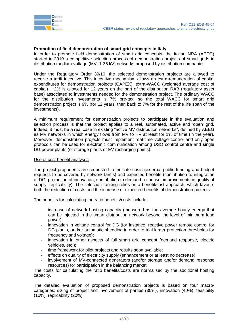

#### **Promotion of field demonstration of smart grid concepts in Italy**

In order to promote field demonstration of smart grid concepts, the Italian NRA (AEEG) started in 2010 a competitive selection process of demonstration projects of smart grids in distribution medium-voltage (MV: 1-35 kV) networks proposed by distribution companies.

Under the Regulatory Order 39/10, the selected demonstration projects are allowed to receive a tariff incentive. This incentive mechanism allows an extra-remuneration of capital expenditures for demonstration projects (CAPEX): extra-WACC (weighted average cost of capital) + 2% is allowed for 12 years on the part of the distribution RAB (regulatory asset base) associated to investments needed for the demonstration project. The ordinary WACC for the distribution investments is 7% pre-tax, so the total WACC for smart grid demonstration project is 9% (for 12 years, then back to 7% for the rest of the life span of the investments).

A minimum requirement for demonstration projects to participate in the evaluation and selection process is that the project applies to a real, automated, active and 'open' grid. Indeed, it must be a real case in existing "active MV distribution networks", defined by AEEG as MV networks in which energy flows from MV to HV at least for 1% of time (in the year). Moreover, demonstration projects must implement real-time voltage control and only open protocols can be used for electronic communication among DSO control centre and single DG power plants (or storage plants or EV recharging points).

#### Use of cost benefit analyses

The project proponents are requested to indicate costs (external public funding and budget requests to be covered by network tariffs) and expected benefits (contribution to integration of DG, promotion of innovation, contribution to demand response, improvements in quality of supply, replicability). The selection ranking relies on a benefit/cost approach, which favours both the reduction of costs and the increase of expected benefits of demonstration projects.

The benefits for calculating the ratio benefits/costs include:

- increase of network hosting capacity (measured as the average hourly energy that can be injected in the smart distribution network beyond the level of minimum load power);
- innovation in voltage control for DG (for instance, reactive power remote control for DG plants, and/or automatic shedding in order to trial larger protection thresholds for frequency and voltage);
- innovation in other aspects of full smart grid concept (demand response, electric vehicles, etc.);
- time framework for pilot projects and results soon available;
- effects on quality of electricity supply (enhancement or at least no decrease);
- involvement of MV-connected generators (and/or storage and/or demand response resources) for participation in the balancing market.

The costs for calculating the ratio benefits/costs are normalised by the additional hosting capacity.

The detailed evaluation of proposed demonstration projects is based on four macrocategories: sizing of project and involvement of parties (30%), innovation (40%), feasibility (10%), replicability (20%).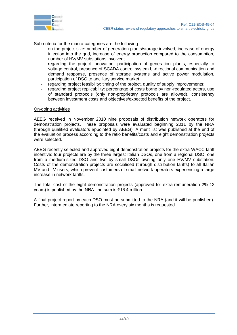

Sub-criteria for the macro-categories are the following:

- on the project size: number of generation plants/storage involved, increase of energy injection into the grid, increase of energy production compared to the consumption, number of HV/MV substations involved;
- regarding the project innovation: participation of generation plants, especially to voltage control, presence of SCADA control system bi-directional communication and demand response, presence of storage systems and active power modulation, participation of DSO to ancillary service market;
- regarding project feasibility: timing of the project, quality of supply improvements;
- regarding project replicability: percentage of costs borne by non-regulated actors, use of standard protocols (only non-proprietary protocols are allowed), consistency between investment costs and objectives/expected benefits of the project.

#### On-going activities

AEEG received in November 2010 nine proposals of distribution network operators for demonstration projects. These proposals were evaluated beginning 2011 by the NRA (through qualified evaluators appointed by AEEG). A merit list was published at the end of the evaluation process according to the ratio benefits/costs and eight demonstration projects were selected.

AEEG recently selected and approved eight demonstration projects for the extra-WACC tariff incentive: four projects are by the three largest Italian DSOs, one from a regional DSO, one from a medium-sized DSO and two by small DSOs owning only one HV/MV substation. Costs of the demonstration projects are socialised (through distribution tariffs) to all Italian MV and LV users, which prevent customers of small network operators experiencing a large increase in network tariffs.

The total cost of the eight demonstration projects (approved for extra-remuneration 2%-12 years) is published by the NRA: the sum is €16.4 million.

A final project report by each DSO must be submitted to the NRA (and it will be published). Further, intermediate reporting to the NRA every six months is requested.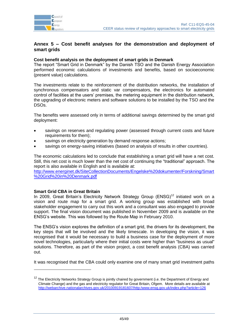

#### <span id="page-44-0"></span>**Annex 5 – Cost benefit analyses for the demonstration and deployment of smart grids**

#### **Cost benefit analysis on the deployment of smart grids in Denmark**

The report "Smart Grid in Denmark" by the Danish TSO and the Danish Energy Association performed economic calculations of investments and benefits, based on socioeconomic (present value) calculations.

The investments relate to the reinforcement of the distribution networks, the installation of synchronous compensators and static var compensators, the electronics for automated control of facilities at the users" premises, the metering equipment in the distribution network, the upgrading of electronic meters and software solutions to be installed by the TSO and the DSOs.

The benefits were assessed only in terms of additional savings determined by the smart grid deployment:

- savings on reserves and regulating power (assessed through current costs and future requirements for them);
- savings on electricity generation by demand response actions;
- savings on energy-saving initiatives (based on analysis of results in other countries).

The economic calculations led to conclude that establishing a smart grid will have a net cost. Still, this net cost is much lower than the net cost of continuing the "traditional" approach. The report is also available in English and is available at:

[http://www.energinet.dk/SiteCollectionDocuments/Engelske%20dokumenter/Forskning/Smart](http://www.energinet.dk/SiteCollectionDocuments/Engelske%20dokumenter/Forskning/Smart%20Grid%20in%20Denmark.pdf) [%20Grid%20in%20Denmark.pdf](http://www.energinet.dk/SiteCollectionDocuments/Engelske%20dokumenter/Forskning/Smart%20Grid%20in%20Denmark.pdf)

#### **Smart Grid CBA in Great Britain**

-

In 2009, Great Britain's Electricity Network Strategy Group ( $ENSG$ )<sup>12</sup> initiated work on a vision and route map for a smart grid. A working group was established with broad stakeholder engagement to carry out this work and a consultant was also engaged to provide support. The final vision document was published in November 2009 and is available on the ENSG"s website. This was followed by the Route Map in February 2010.

The ENSG"s vision explores the definition of a smart grid, the drivers for its development, the key steps that will be involved and the likely timescale. In developing the vision, it was recognised that it would be necessary to build a business case for the deployment of more novel technologies, particularly where their initial costs were higher than "business as usual" solutions. Therefore, as part of the vision project, a cost benefit analysis (CBA) was carried out.

It was recognised that the CBA could only examine one of many smart grid investment paths

<sup>&</sup>lt;sup>12</sup> The Electricity Networks Strategy Group is jointly chaired by government (i.e. the Department of Energy and Climate Change) and the gas and electricity regulator for Great Britain, Ofgem. More details are available at <http://webarchive.nationalarchives.gov.uk/20100919181607/http:/www.ensg.gov.uk/index.php?article=126>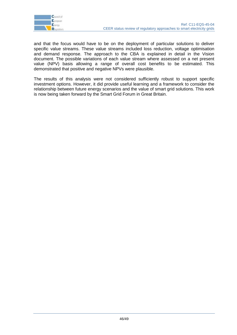

and that the focus would have to be on the deployment of particular solutions to deliver specific value streams. These value streams included loss reduction, voltage optimisation and demand response. The approach to the CBA is explained in detail in the Vision document. The possible variations of each value stream where assessed on a net present value (NPV) basis allowing a range of overall cost benefits to be estimated. This demonstrated that positive and negative NPVs were plausible.

The results of this analysis were not considered sufficiently robust to support specific investment options. However, it did provide useful learning and a framework to consider the relationship between future energy scenarios and the value of smart grid solutions. This work is now being taken forward by the Smart Grid Forum in Great Britain.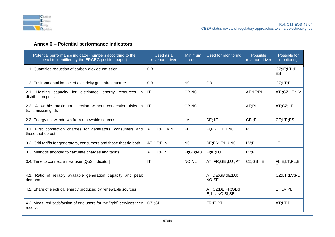

# **Annex 6 – Potential performance indicators**

<span id="page-46-0"></span>

| Potential performance indicator (numbers according to the<br>benefits identified by the ERGEG position paper) | Used as a<br>revenue driver | Minimum<br>requir. | Used for monitoring                   | Possible<br>revenue driver | Possible for<br>monitoring                |
|---------------------------------------------------------------------------------------------------------------|-----------------------------|--------------------|---------------------------------------|----------------------------|-------------------------------------------|
| 1.1. Quantified reduction of carbon-dioxide emission                                                          | <b>GB</b>                   |                    |                                       |                            | $CZ$ ; $I E$ ; $LT$ ; $PL$ ;<br><b>ES</b> |
| 1.2. Environmental impact of electricity grid infrastructure                                                  | <b>GB</b>                   | <b>NO</b>          | <b>GB</b>                             |                            | CZ;LT;PL                                  |
| 2.1. Hosting capacity for distributed energy resources in<br>distribution grids                               | $\mathsf{I}\mathsf{T}$      | GB;NO              |                                       | AT; IE; PL                 | AT;CZ;LT;LV                               |
| 2.2. Allowable maximum injection without congestion risks in<br>transmission grids                            | <b>IT</b>                   | GB;NO              |                                       | AT:PL                      | AT;CZ;LT                                  |
| 2.3. Energy not withdrawn from renewable sources                                                              |                             | LV                 | DE; IE                                | GB;PL                      | CZ;LT;ES                                  |
| 3.1. First connection charges for generators, consumers and<br>those that do both                             | AT;CZ;FI;LV;NL              | F1                 | FI,FR;IE,LU,NO                        | PL                         | <b>LT</b>                                 |
| 3.2. Grid tariffs for generators, consumers and those that do both                                            | AT;CZ;FI;NL                 | <b>NO</b>          | DE;FR;IE;LU;NO                        | LV;PL                      | <b>LT</b>                                 |
| 3.3. Methods adopted to calculate charges and tariffs                                                         | AT;CZ;FI;NL                 | FI;GB;NO           | FI;IE;LU                              | LV;PL                      | <b>LT</b>                                 |
| 3.4. Time to connect a new user [QoS indicator]                                                               | IT                          | NO;NL              | AT; FR;GB ;LU ;PT                     | CZ;GB;IE                   | FI;IE;LT;PL;E<br>S                        |
| 4.1. Ratio of reliably available generation capacity and peak<br>demand                                       |                             |                    | AT;DE;GB;IE;LU;<br>NO;SE              |                            | CZ;LT;LV;PL                               |
| 4.2. Share of electrical energy produced by renewable sources                                                 |                             |                    | AT;CZ;DE;FR;GB;I<br>E; LU; NO; SI; SE |                            | LT;LV;PL                                  |
| 4.3. Measured satisfaction of grid users for the "grid" services they<br>receive                              | $CZ$ : GB                   |                    | FR;IT;PT                              |                            | AT;LT;PL                                  |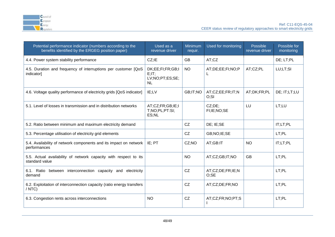

| Potential performance indicator (numbers according to the<br>benefits identified by the ERGEG position paper) | Used as a<br>revenue driver                                      | Minimum<br>requir. | Used for monitoring      | Possible<br>revenue driver | Possible for<br>monitoring |
|---------------------------------------------------------------------------------------------------------------|------------------------------------------------------------------|--------------------|--------------------------|----------------------------|----------------------------|
| 4.4. Power system stability performance                                                                       | CZ; IE                                                           | <b>GB</b>          | AT;CZ                    |                            | DE; LT;PL                  |
| 4.5. Duration and frequency of interruptions per customer [QoS<br>indicator]                                  | DK;EE;FI;FR;GB;I<br>$E$ ; $IT$ ;<br>LV;NO;PT;ES;SE;<br><b>NL</b> | <b>NO</b>          | AT;DE;EE;FI;NO;P<br>L    | AT;CZ;PL                   | LU;LT;SI                   |
| 4.6. Voltage quality performance of electricity grids [QoS indicator]                                         | IE;LV                                                            | GB;IT;NO           | AT;CZ;EE;FR;IT;N<br>O;SI | AT;DK;FR;PL                | DE; IT;LT;LU               |
| 5.1. Level of losses in transmission and in distribution networks                                             | AT;CZ;FR;GB;IE;I<br>T;NO;PL;PT:SI;<br>ES;NL                      |                    | CZ;DE;<br>FI;IE;NO;SE    | LU                         | LT;LU                      |
| 5.2. Ratio between minimum and maximum electricity demand                                                     |                                                                  | CZ                 | DE; IE; SE               |                            | IT;LT;PL                   |
| 5.3. Percentage utilisation of electricity grid elements                                                      |                                                                  | CZ                 | GB;NO;IE;SE              |                            | LT;PL                      |
| 5.4. Availability of network components and its impact on network<br>performances                             | $IE$ ; PT                                                        | CZ;NO              | AT;GB:IT                 | <b>NO</b>                  | IT;LT;PL                   |
| 5.5. Actual availability of network capacity with respect to its<br>standard value                            |                                                                  | <b>NO</b>          | AT;CZ;GB;IT;NO           | <b>GB</b>                  | LT:PL                      |
| 6.1. Ratio between interconnection capacity and electricity<br>demand                                         |                                                                  | CZ                 | AT;CZ;DE;FR;IE;N<br>O:SE |                            | LT:PL                      |
| 6.2. Exploitation of interconnection capacity (ratio energy transfers<br>$/$ NTC)                             |                                                                  | CZ                 | AT;CZ;DE;FR;NO           |                            | LT:PL                      |
| 6.3. Congestion rents across interconnections                                                                 | <b>NO</b>                                                        | CZ                 | AT;CZ;FR;NO;PT;S         |                            | LT;PL                      |